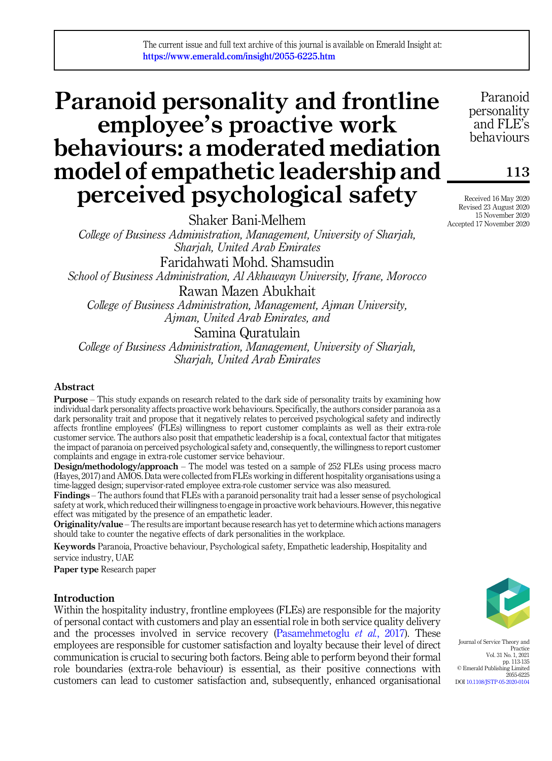# Paranoid personality and frontline employee's proactive work behaviours: a moderated mediation model of empathetic leadership and perceived psychological safety

Shaker Bani-Melhem *College of Business Administration, Management, University of Sharjah, Sharjah, United Arab Emirates* Faridahwati Mohd. Shamsudin *School of Business Administration, Al Akhawayn University, Ifrane, Morocco* Rawan Mazen Abukhait *College of Business Administration, Management, Ajman University, Ajman, United Arab Emirates, and*

Samina Quratulain *College of Business Administration, Management, University of Sharjah,*

*Sharjah, United Arab Emirates*

## Abstract

Purpose – This study expands on research related to the dark side of personality traits by examining how individual dark personality affects proactive work behaviours. Specifically, the authors consider paranoia as a dark personality trait and propose that it negatively relates to perceived psychological safety and indirectly affects frontline employees' (FLEs) willingness to report customer complaints as well as their extra-role customer service. The authors also posit that empathetic leadership is a focal, contextual factor that mitigates the impact of paranoia on perceived psychological safety and, consequently, the willingness to report customer complaints and engage in extra-role customer service behaviour.

Design/methodology/approach – The model was tested on a sample of 252 FLEs using process macro (Hayes, 2017) and AMOS. Data were collected from FLEs working in different hospitality organisations using a time-lagged design; supervisor-rated employee extra-role customer service was also measured.

Findings – The authors found that FLEs with a paranoid personality trait had a lesser sense of psychological safety at work, which reduced their willingness to engage in proactive work behaviours. However, this negative effect was mitigated by the presence of an empathetic leader.

Originality/value – The results are important because research has yet to determine which actions managers should take to counter the negative effects of dark personalities in the workplace.

Keywords Paranoia, Proactive behaviour, Psychological safety, Empathetic leadership, Hospitality and service industry, UAE

Paper type Research paper

## Introduction

Within the hospitality industry, frontline employees (FLEs) are responsible for the majority of personal contact with customers and play an essential role in both service quality delivery and the processes involved in service recovery (Pasamehmetoglu *et al.*, 2017). These employees are responsible for customer satisfaction and loyalty because their level of direct communication is crucial to securing both factors. Being able to perform beyond their formal role boundaries (extra-role behaviour) is essential, as their positive connections with customers can lead to customer satisfaction and, subsequently, enhanced organisational



Journal of Service Theory and Practice Vol. 31 No. 1, 2021 pp. 113-135 © Emerald Publishing Limited 2055-6225 DOI 10.1108/JSTP-05-2020-0104

Paranoid personality and FLE's behaviours

113

Received 16 May 2020 Revised 23 August 2020 15 November 2020 Accepted 17 November 2020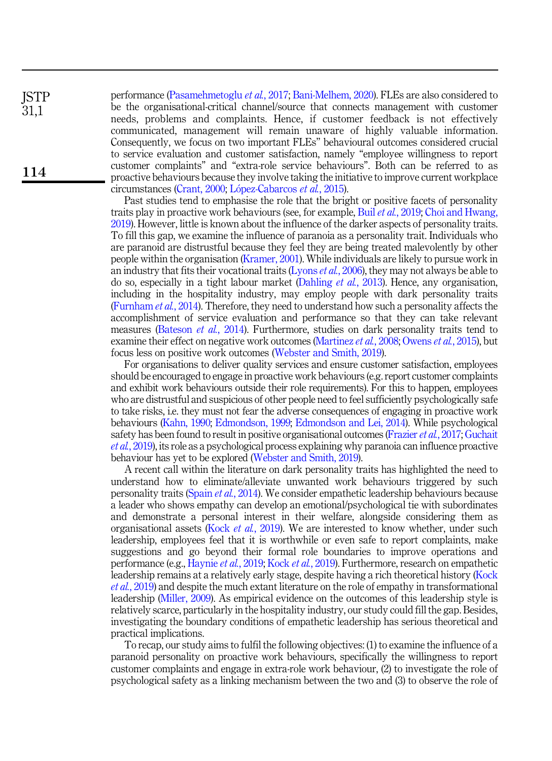performance (Pasamehmetoglu *et al.*, 2017; Bani-Melhem, 2020). FLEs are also considered to be the organisational-critical channel/source that connects management with customer needs, problems and complaints. Hence, if customer feedback is not effectively communicated, management will remain unaware of highly valuable information. Consequently, we focus on two important FLEs'' behavioural outcomes considered crucial to service evaluation and customer satisfaction, namely "employee willingness to report customer complaints" and "extra-role service behaviours". Both can be referred to as proactive behaviours because they involve taking the initiative to improve current workplace circumstances (Crant, 2000; Lopez-Cabarcos *et al.*, 2015). **ISTP** 31,1 114

> Past studies tend to emphasise the role that the bright or positive facets of personality traits play in proactive work behaviours (see, for example, Buil *et al.*, 2019; Choi and Hwang, 2019). However, little is known about the influence of the darker aspects of personality traits. To fill this gap, we examine the influence of paranoia as a personality trait. Individuals who are paranoid are distrustful because they feel they are being treated malevolently by other people within the organisation (Kramer, 2001). While individuals are likely to pursue work in an industry that fits their vocational traits (Lyons *et al.*, 2006), they may not always be able to do so, especially in a tight labour market (Dahling *et al.*, 2013). Hence, any organisation, including in the hospitality industry, may employ people with dark personality traits (Furnham *et al.*, 2014). Therefore, they need to understand how such a personality affects the accomplishment of service evaluation and performance so that they can take relevant measures (Bateson *et al.*, 2014). Furthermore, studies on dark personality traits tend to examine their effect on negative work outcomes (Martinez *et al.*, 2008; Owens *et al.*, 2015), but focus less on positive work outcomes (Webster and Smith, 2019).

> For organisations to deliver quality services and ensure customer satisfaction, employees should be encouraged to engage in proactive work behaviours (e.g. report customer complaints and exhibit work behaviours outside their role requirements). For this to happen, employees who are distrustful and suspicious of other people need to feel sufficiently psychologically safe to take risks, i.e. they must not fear the adverse consequences of engaging in proactive work behaviours (Kahn, 1990; Edmondson, 1999; Edmondson and Lei, 2014). While psychological safety has been found to result in positive organisational outcomes (Frazier*et al.*, 2017; Guchait *et al.*, 2019), its role as a psychological process explaining why paranoia can influence proactive behaviour has yet to be explored (Webster and Smith, 2019).

> A recent call within the literature on dark personality traits has highlighted the need to understand how to eliminate/alleviate unwanted work behaviours triggered by such personality traits (Spain *et al.*, 2014). We consider empathetic leadership behaviours because a leader who shows empathy can develop an emotional/psychological tie with subordinates and demonstrate a personal interest in their welfare, alongside considering them as organisational assets (Kock *et al.*, 2019). We are interested to know whether, under such leadership, employees feel that it is worthwhile or even safe to report complaints, make suggestions and go beyond their formal role boundaries to improve operations and performance (e.g., Haynie *et al.*, 2019; Kock *et al.*, 2019). Furthermore, research on empathetic leadership remains at a relatively early stage, despite having a rich theoretical history (Kock *et al.*, 2019) and despite the much extant literature on the role of empathy in transformational leadership (Miller, 2009). As empirical evidence on the outcomes of this leadership style is relatively scarce, particularly in the hospitality industry, our study could fill the gap. Besides, investigating the boundary conditions of empathetic leadership has serious theoretical and practical implications.

> To recap, our study aims to fulfil the following objectives: (1) to examine the influence of a paranoid personality on proactive work behaviours, specifically the willingness to report customer complaints and engage in extra-role work behaviour, (2) to investigate the role of psychological safety as a linking mechanism between the two and (3) to observe the role of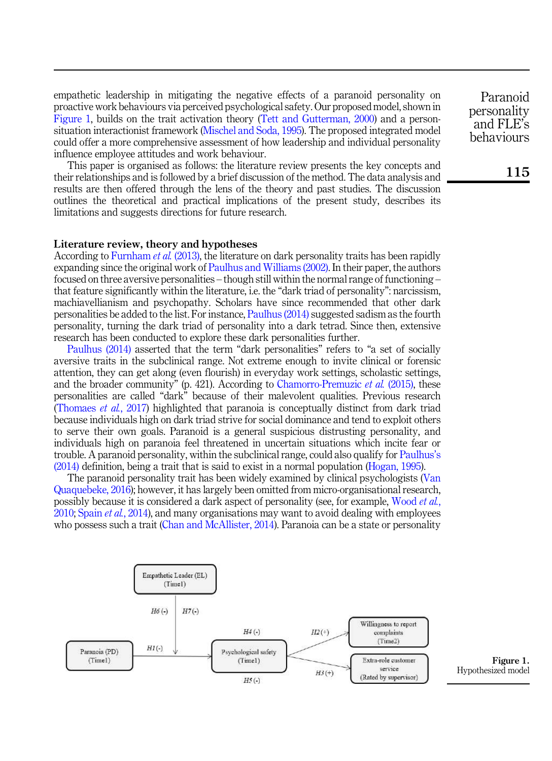empathetic leadership in mitigating the negative effects of a paranoid personality on proactive work behaviours via perceived psychological safety. Our proposed model, shown in Figure 1, builds on the trait activation theory (Tett and Gutterman, 2000) and a personsituation interactionist framework (Mischel and Soda, 1995). The proposed integrated model could offer a more comprehensive assessment of how leadership and individual personality influence employee attitudes and work behaviour.

This paper is organised as follows: the literature review presents the key concepts and their relationships and is followed by a brief discussion of the method. The data analysis and results are then offered through the lens of the theory and past studies. The discussion outlines the theoretical and practical implications of the present study, describes its limitations and suggests directions for future research.

#### Literature review, theory and hypotheses

According to Furnham *et al.* (2013), the literature on dark personality traits has been rapidly expanding since the original work of Paulhus and Williams (2002). In their paper, the authors focused on three aversive personalities – though still within the normal range of functioning – that feature significantly within the literature, i.e. the "dark triad of personality": narcissism, machiavellianism and psychopathy. Scholars have since recommended that other dark personalities be added to the list. For instance, Paulhus (2014) suggested sadism as the fourth personality, turning the dark triad of personality into a dark tetrad. Since then, extensive research has been conducted to explore these dark personalities further.

Paulhus (2014) asserted that the term "dark personalities" refers to "a set of socially aversive traits in the subclinical range. Not extreme enough to invite clinical or forensic attention, they can get along (even flourish) in everyday work settings, scholastic settings, and the broader community" (p. 421). According to Chamorro-Premuzic *et al.* (2015), these personalities are called "dark" because of their malevolent qualities. Previous research (Thomaes *et al.*, 2017) highlighted that paranoia is conceptually distinct from dark triad because individuals high on dark triad strive for social dominance and tend to exploit others to serve their own goals. Paranoid is a general suspicious distrusting personality, and individuals high on paranoia feel threatened in uncertain situations which incite fear or trouble. A paranoid personality, within the subclinical range, could also qualify for Paulhus's (2014) definition, being a trait that is said to exist in a normal population (Hogan, 1995).

The paranoid personality trait has been widely examined by clinical psychologists (Van Quaquebeke, 2016); however, it has largely been omitted from micro-organisational research, possibly because it is considered a dark aspect of personality (see, for example, Wood *et al.*, 2010; Spain *et al.*, 2014), and many organisations may want to avoid dealing with employees who possess such a trait (Chan and McAllister, 2014). Paranoia can be a state or personality



Figure 1. Hypothesized model

Paranoid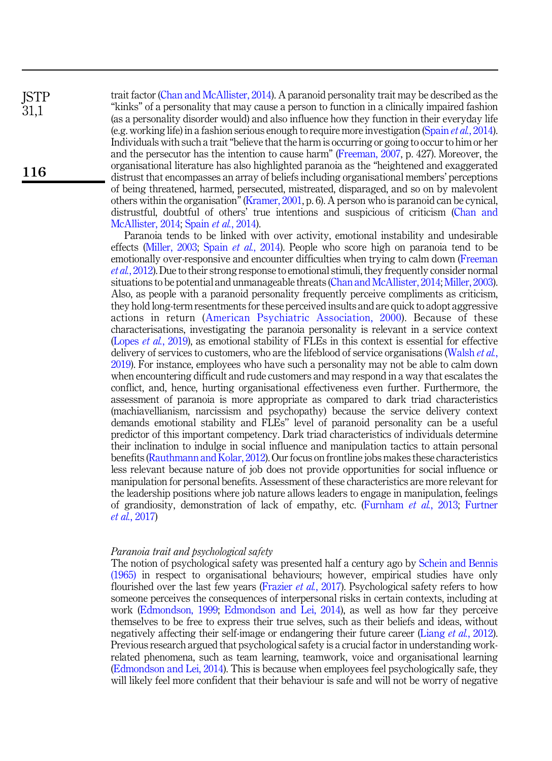trait factor (Chan and McAllister, 2014). A paranoid personality trait may be described as the "kinks" of a personality that may cause a person to function in a clinically impaired fashion (as a personality disorder would) and also influence how they function in their everyday life (e.g. working life) in a fashion serious enough to require more investigation (Spain *et al.*, 2014). Individuals with such a trait"believe that the harm is occurring or going to occur to him or her and the persecutor has the intention to cause harm" (Freeman, 2007, p. 427). Moreover, the organisational literature has also highlighted paranoia as the "heightened and exaggerated distrust that encompasses an array of beliefs including organisational members' perceptions of being threatened, harmed, persecuted, mistreated, disparaged, and so on by malevolent others within the organisation" (Kramer, 2001, p. 6). A person who is paranoid can be cynical, distrustful, doubtful of others' true intentions and suspicious of criticism (Chan and McAllister, 2014; Spain *et al.*, 2014).

> Paranoia tends to be linked with over activity, emotional instability and undesirable effects (Miller, 2003; Spain *et al.*, 2014). People who score high on paranoia tend to be emotionally over-responsive and encounter difficulties when trying to calm down (Freeman *et al.*, 2012). Due to their strong response to emotional stimuli, they frequently consider normal situations to be potential and unmanageable threats (Chan and McAllister, 2014; Miller, 2003). Also, as people with a paranoid personality frequently perceive compliments as criticism, they hold long-term resentments for these perceived insults and are quick to adopt aggressive actions in return (American Psychiatric Association, 2000). Because of these characterisations, investigating the paranoia personality is relevant in a service context (Lopes *et al.*, 2019), as emotional stability of FLEs in this context is essential for effective delivery of services to customers, who are the lifeblood of service organisations (Walsh *et al.*, 2019). For instance, employees who have such a personality may not be able to calm down when encountering difficult and rude customers and may respond in a way that escalates the conflict, and, hence, hurting organisational effectiveness even further. Furthermore, the assessment of paranoia is more appropriate as compared to dark triad characteristics (machiavellianism, narcissism and psychopathy) because the service delivery context demands emotional stability and FLEs'' level of paranoid personality can be a useful predictor of this important competency. Dark triad characteristics of individuals determine their inclination to indulge in social influence and manipulation tactics to attain personal benefits (Rauthmann and Kolar, 2012). Our focus on frontline jobs makes these characteristics less relevant because nature of job does not provide opportunities for social influence or manipulation for personal benefits. Assessment of these characteristics are more relevant for the leadership positions where job nature allows leaders to engage in manipulation, feelings of grandiosity, demonstration of lack of empathy, etc. (Furnham *et al.*, 2013; Furtner *et al.*, 2017)

#### *Paranoia trait and psychological safety*

**ISTP** 31,1

116

The notion of psychological safety was presented half a century ago by Schein and Bennis (1965) in respect to organisational behaviours; however, empirical studies have only flourished over the last few years (Frazier *et al.*, 2017). Psychological safety refers to how someone perceives the consequences of interpersonal risks in certain contexts, including at work (Edmondson, 1999; Edmondson and Lei, 2014), as well as how far they perceive themselves to be free to express their true selves, such as their beliefs and ideas, without negatively affecting their self-image or endangering their future career (Liang *et al.*, 2012). Previous research argued that psychological safety is a crucial factor in understanding workrelated phenomena, such as team learning, teamwork, voice and organisational learning (Edmondson and Lei, 2014). This is because when employees feel psychologically safe, they will likely feel more confident that their behaviour is safe and will not be worry of negative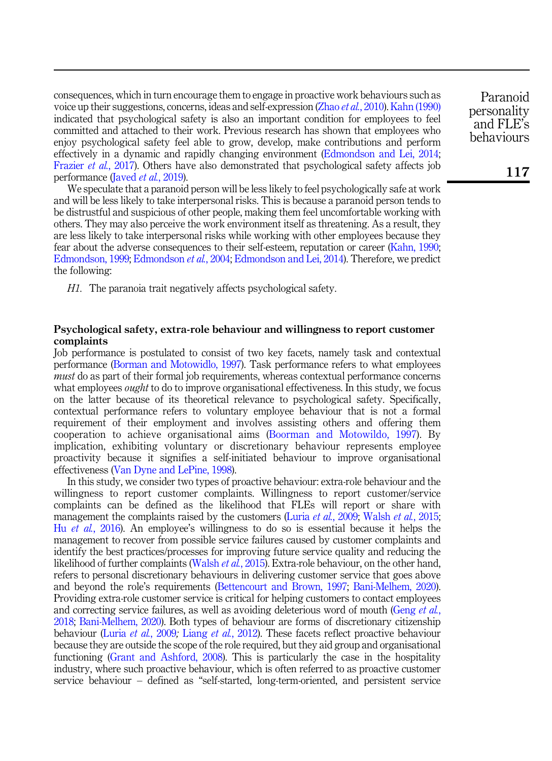consequences, which in turn encourage them to engage in proactive work behaviours such as voice up their suggestions, concerns, ideas and self-expression (Zhao *et al.*, 2010). Kahn (1990) indicated that psychological safety is also an important condition for employees to feel committed and attached to their work. Previous research has shown that employees who enjoy psychological safety feel able to grow, develop, make contributions and perform effectively in a dynamic and rapidly changing environment (Edmondson and Lei, 2014; Frazier *et al.*, 2017). Others have also demonstrated that psychological safety affects job performance (Javed *et al.*, 2019).

We speculate that a paranoid person will be less likely to feel psychologically safe at work and will be less likely to take interpersonal risks. This is because a paranoid person tends to be distrustful and suspicious of other people, making them feel uncomfortable working with others. They may also perceive the work environment itself as threatening. As a result, they are less likely to take interpersonal risks while working with other employees because they fear about the adverse consequences to their self-esteem, reputation or career (Kahn, 1990; Edmondson, 1999; Edmondson *et al.*, 2004; Edmondson and Lei, 2014). Therefore, we predict the following:

*H1.* The paranoia trait negatively affects psychological safety.

## Psychological safety, extra-role behaviour and willingness to report customer complaints

Job performance is postulated to consist of two key facets, namely task and contextual performance (Borman and Motowidlo, 1997). Task performance refers to what employees *must* do as part of their formal job requirements, whereas contextual performance concerns what employees *ought* to do to improve organisational effectiveness. In this study, we focus on the latter because of its theoretical relevance to psychological safety. Specifically, contextual performance refers to voluntary employee behaviour that is not a formal requirement of their employment and involves assisting others and offering them cooperation to achieve organisational aims (Boorman and Motowildo, 1997). By implication, exhibiting voluntary or discretionary behaviour represents employee proactivity because it signifies a self-initiated behaviour to improve organisational effectiveness (Van Dyne and LePine, 1998).

In this study, we consider two types of proactive behaviour: extra-role behaviour and the willingness to report customer complaints. Willingness to report customer/service complaints can be defined as the likelihood that FLEs will report or share with management the complaints raised by the customers (Luria *et al.*, 2009; Walsh *et al.*, 2015; Hu *et al.*, 2016). An employee's willingness to do so is essential because it helps the management to recover from possible service failures caused by customer complaints and identify the best practices/processes for improving future service quality and reducing the likelihood of further complaints (Walsh *et al.*, 2015). Extra-role behaviour, on the other hand, refers to personal discretionary behaviours in delivering customer service that goes above and beyond the role's requirements (Bettencourt and Brown, 1997; Bani-Melhem, 2020). Providing extra-role customer service is critical for helping customers to contact employees and correcting service failures, as well as avoiding deleterious word of mouth (Geng *et al.*, 2018; Bani-Melhem, 2020). Both types of behaviour are forms of discretionary citizenship behaviour (Luria *et al.*, 2009*;* Liang *et al.*, 2012). These facets reflect proactive behaviour because they are outside the scope of the role required, but they aid group and organisational functioning (Grant and Ashford, 2008). This is particularly the case in the hospitality industry, where such proactive behaviour, which is often referred to as proactive customer service behaviour – defined as "self-started, long-term-oriented, and persistent service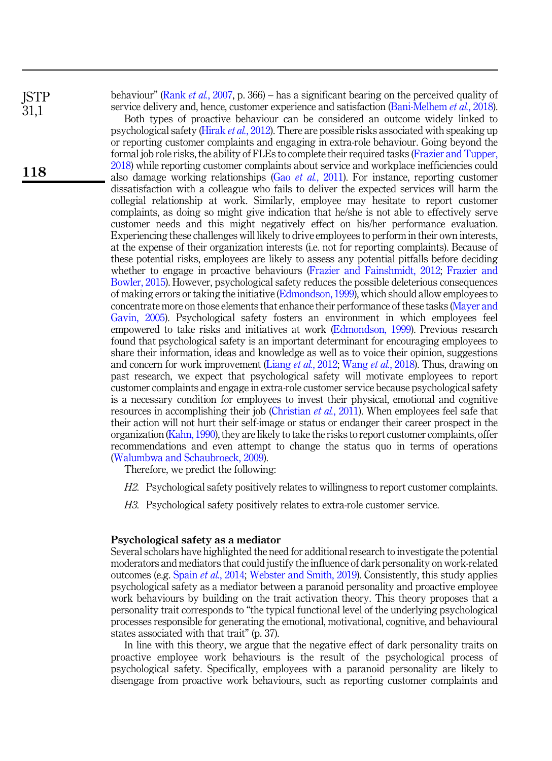**ISTP** 31,1

118

behaviour" (Rank *et al.*, 2007, p. 366) – has a significant bearing on the perceived quality of service delivery and, hence, customer experience and satisfaction (Bani-Melhem *et al.*, 2018).

Both types of proactive behaviour can be considered an outcome widely linked to psychological safety (Hirak *et al.*, 2012). There are possible risks associated with speaking up or reporting customer complaints and engaging in extra-role behaviour. Going beyond the formal job role risks, the ability of FLEs to complete their required tasks (Frazier and Tupper, 2018) while reporting customer complaints about service and workplace inefficiencies could also damage working relationships (Gao *et al.*, 2011). For instance, reporting customer dissatisfaction with a colleague who fails to deliver the expected services will harm the collegial relationship at work. Similarly, employee may hesitate to report customer complaints, as doing so might give indication that he/she is not able to effectively serve customer needs and this might negatively effect on his/her performance evaluation. Experiencing these challenges will likely to drive employees to perform in their own interests, at the expense of their organization interests (i.e. not for reporting complaints). Because of these potential risks, employees are likely to assess any potential pitfalls before deciding whether to engage in proactive behaviours (Frazier and Fainshmidt, 2012; Frazier and Bowler, 2015). However, psychological safety reduces the possible deleterious consequences of making errors or taking the initiative (Edmondson, 1999), which should allow employees to concentrate more on those elements that enhance their performance of these tasks (Mayer and Gavin, 2005). Psychological safety fosters an environment in which employees feel empowered to take risks and initiatives at work (Edmondson, 1999). Previous research found that psychological safety is an important determinant for encouraging employees to share their information, ideas and knowledge as well as to voice their opinion, suggestions and concern for work improvement (Liang *et al.*, 2012; Wang *et al.*, 2018). Thus, drawing on past research, we expect that psychological safety will motivate employees to report customer complaints and engage in extra-role customer service because psychological safety is a necessary condition for employees to invest their physical, emotional and cognitive resources in accomplishing their job (Christian *et al.*, 2011). When employees feel safe that their action will not hurt their self-image or status or endanger their career prospect in the organization (Kahn, 1990), they are likely to take the risks to report customer complaints, offer recommendations and even attempt to change the status quo in terms of operations (Walumbwa and Schaubroeck, 2009).

Therefore, we predict the following:

- *H2.* Psychological safety positively relates to willingness to report customer complaints.
- *H3.* Psychological safety positively relates to extra-role customer service.

#### Psychological safety as a mediator

Several scholars have highlighted the need for additional research to investigate the potential moderators and mediators that could justify the influence of dark personality on work-related outcomes (e.g. Spain *et al.*, 2014; Webster and Smith, 2019). Consistently, this study applies psychological safety as a mediator between a paranoid personality and proactive employee work behaviours by building on the trait activation theory. This theory proposes that a personality trait corresponds to "the typical functional level of the underlying psychological processes responsible for generating the emotional, motivational, cognitive, and behavioural states associated with that trait" (p. 37).

In line with this theory, we argue that the negative effect of dark personality traits on proactive employee work behaviours is the result of the psychological process of psychological safety. Specifically, employees with a paranoid personality are likely to disengage from proactive work behaviours, such as reporting customer complaints and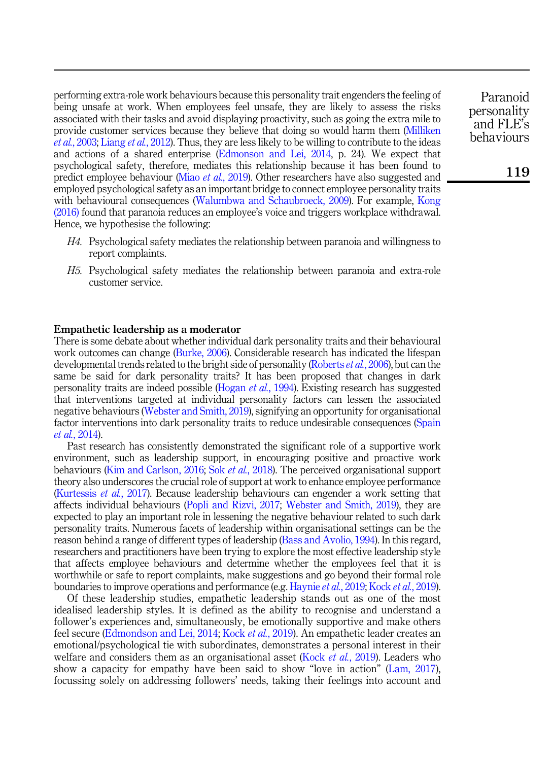performing extra-role work behaviours because this personality trait engenders the feeling of being unsafe at work. When employees feel unsafe, they are likely to assess the risks associated with their tasks and avoid displaying proactivity, such as going the extra mile to provide customer services because they believe that doing so would harm them (Milliken *et al.*, 2003; Liang *et al.*, 2012). Thus, they are less likely to be willing to contribute to the ideas and actions of a shared enterprise (Edmonson and Lei, 2014, p. 24). We expect that psychological safety, therefore, mediates this relationship because it has been found to predict employee behaviour (Miao *et al.*, 2019). Other researchers have also suggested and employed psychological safety as an important bridge to connect employee personality traits with behavioural consequences (Walumbwa and Schaubroeck, 2009). For example, Kong (2016) found that paranoia reduces an employee's voice and triggers workplace withdrawal. Hence, we hypothesise the following:

- *H4.* Psychological safety mediates the relationship between paranoia and willingness to report complaints.
- *H5.* Psychological safety mediates the relationship between paranoia and extra-role customer service.

#### Empathetic leadership as a moderator

There is some debate about whether individual dark personality traits and their behavioural work outcomes can change (Burke, 2006). Considerable research has indicated the lifespan developmental trends related to the bright side of personality (Roberts *et al.*, 2006), but can the same be said for dark personality traits? It has been proposed that changes in dark personality traits are indeed possible (Hogan *et al.*, 1994). Existing research has suggested that interventions targeted at individual personality factors can lessen the associated negative behaviours (Webster and Smith, 2019), signifying an opportunity for organisational factor interventions into dark personality traits to reduce undesirable consequences (Spain *et al.*, 2014).

Past research has consistently demonstrated the significant role of a supportive work environment, such as leadership support, in encouraging positive and proactive work behaviours (Kim and Carlson, 2016; Sok *et al.*, 2018). The perceived organisational support theory also underscores the crucial role of support at work to enhance employee performance (Kurtessis *et al.*, 2017). Because leadership behaviours can engender a work setting that affects individual behaviours (Popli and Rizvi, 2017; Webster and Smith, 2019), they are expected to play an important role in lessening the negative behaviour related to such dark personality traits. Numerous facets of leadership within organisational settings can be the reason behind a range of different types of leadership (Bass and Avolio, 1994). In this regard, researchers and practitioners have been trying to explore the most effective leadership style that affects employee behaviours and determine whether the employees feel that it is worthwhile or safe to report complaints, make suggestions and go beyond their formal role boundaries to improve operations and performance (e.g. Haynie *et al.*, 2019; Kock *et al.*, 2019).

Of these leadership studies, empathetic leadership stands out as one of the most idealised leadership styles. It is defined as the ability to recognise and understand a follower's experiences and, simultaneously, be emotionally supportive and make others feel secure (Edmondson and Lei, 2014; Kock *et al.*, 2019). An empathetic leader creates an emotional/psychological tie with subordinates, demonstrates a personal interest in their welfare and considers them as an organisational asset (Kock *et al.*, 2019). Leaders who show a capacity for empathy have been said to show "love in action" (Lam, 2017), focussing solely on addressing followers' needs, taking their feelings into account and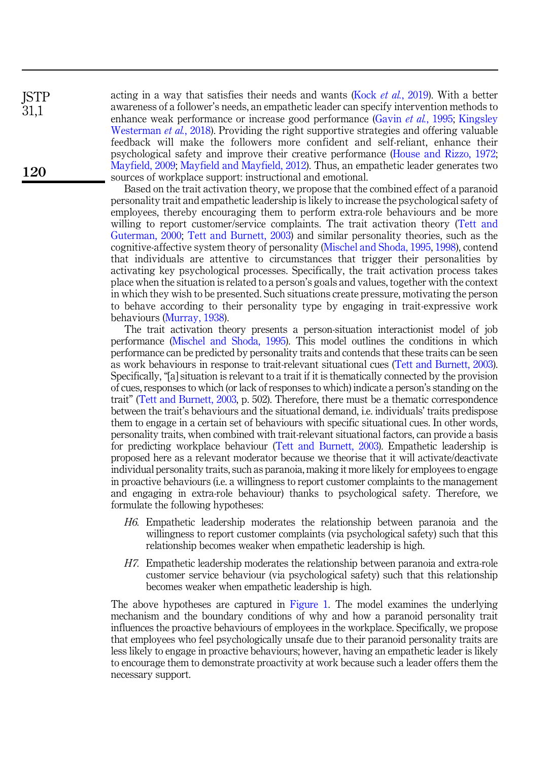**ISTP** 31,1

120

acting in a way that satisfies their needs and wants (Kock *et al.*, 2019). With a better awareness of a follower's needs, an empathetic leader can specify intervention methods to enhance weak performance or increase good performance (Gavin *et al.*, 1995; Kingsley Westerman *et al.*, 2018). Providing the right supportive strategies and offering valuable feedback will make the followers more confident and self-reliant, enhance their psychological safety and improve their creative performance (House and Rizzo, 1972; Mayfield, 2009; Mayfield and Mayfield, 2012). Thus, an empathetic leader generates two sources of workplace support: instructional and emotional.

Based on the trait activation theory, we propose that the combined effect of a paranoid personality trait and empathetic leadership is likely to increase the psychological safety of employees, thereby encouraging them to perform extra-role behaviours and be more willing to report customer/service complaints. The trait activation theory (Tett and Guterman, 2000; Tett and Burnett, 2003) and similar personality theories, such as the cognitive-affective system theory of personality (Mischel and Shoda, 1995, 1998), contend that individuals are attentive to circumstances that trigger their personalities by activating key psychological processes. Specifically, the trait activation process takes place when the situation is related to a person's goals and values, together with the context in which they wish to be presented. Such situations create pressure, motivating the person to behave according to their personality type by engaging in trait-expressive work behaviours (Murray, 1938).

The trait activation theory presents a person-situation interactionist model of job performance (Mischel and Shoda, 1995). This model outlines the conditions in which performance can be predicted by personality traits and contends that these traits can be seen as work behaviours in response to trait-relevant situational cues (Tett and Burnett, 2003). Specifically, "[a] situation is relevant to a trait if it is thematically connected by the provision of cues, responses to which (or lack of responses to which) indicate a person's standing on the trait" (Tett and Burnett, 2003, p. 502). Therefore, there must be a thematic correspondence between the trait's behaviours and the situational demand, i.e. individuals' traits predispose them to engage in a certain set of behaviours with specific situational cues. In other words, personality traits, when combined with trait-relevant situational factors, can provide a basis for predicting workplace behaviour (Tett and Burnett, 2003). Empathetic leadership is proposed here as a relevant moderator because we theorise that it will activate/deactivate individual personality traits, such as paranoia, making it more likely for employees to engage in proactive behaviours (i.e. a willingness to report customer complaints to the management and engaging in extra-role behaviour) thanks to psychological safety. Therefore, we formulate the following hypotheses:

- *H6.* Empathetic leadership moderates the relationship between paranoia and the willingness to report customer complaints (via psychological safety) such that this relationship becomes weaker when empathetic leadership is high.
- *H7.* Empathetic leadership moderates the relationship between paranoia and extra-role customer service behaviour (via psychological safety) such that this relationship becomes weaker when empathetic leadership is high.

The above hypotheses are captured in Figure 1. The model examines the underlying mechanism and the boundary conditions of why and how a paranoid personality trait influences the proactive behaviours of employees in the workplace. Specifically, we propose that employees who feel psychologically unsafe due to their paranoid personality traits are less likely to engage in proactive behaviours; however, having an empathetic leader is likely to encourage them to demonstrate proactivity at work because such a leader offers them the necessary support.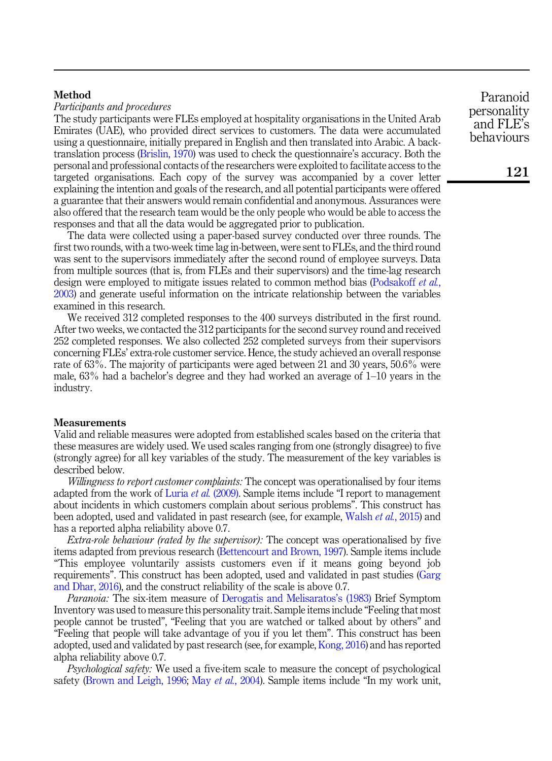## Method

*Participants and procedures*

The study participants were FLEs employed at hospitality organisations in the United Arab Emirates (UAE), who provided direct services to customers. The data were accumulated using a questionnaire, initially prepared in English and then translated into Arabic. A backtranslation process (Brislin, 1970) was used to check the questionnaire's accuracy. Both the personal and professional contacts of the researchers were exploited to facilitate access to the targeted organisations. Each copy of the survey was accompanied by a cover letter explaining the intention and goals of the research, and all potential participants were offered a guarantee that their answers would remain confidential and anonymous. Assurances were also offered that the research team would be the only people who would be able to access the responses and that all the data would be aggregated prior to publication.

The data were collected using a paper-based survey conducted over three rounds. The first two rounds, with a two-week time lag in-between, were sent to FLEs, and the third round was sent to the supervisors immediately after the second round of employee surveys. Data from multiple sources (that is, from FLEs and their supervisors) and the time-lag research design were employed to mitigate issues related to common method bias (Podsakoff *et al.*, 2003) and generate useful information on the intricate relationship between the variables examined in this research.

We received 312 completed responses to the 400 surveys distributed in the first round. After two weeks, we contacted the 312 participants for the second survey round and received 252 completed responses. We also collected 252 completed surveys from their supervisors concerning FLEs' extra-role customer service. Hence, the study achieved an overall response rate of 63%. The majority of participants were aged between 21 and 30 years, 50.6% were male, 63% had a bachelor's degree and they had worked an average of 1–10 years in the industry.

#### Measurements

Valid and reliable measures were adopted from established scales based on the criteria that these measures are widely used. We used scales ranging from one (strongly disagree) to five (strongly agree) for all key variables of the study. The measurement of the key variables is described below.

*Willingness to report customer complaints:* The concept was operationalised by four items adapted from the work of Luria *et al.* (2009). Sample items include "I report to management about incidents in which customers complain about serious problems". This construct has been adopted, used and validated in past research (see, for example, Walsh *et al.*, 2015) and has a reported alpha reliability above 0.7.

*Extra-role behaviour (rated by the supervisor):* The concept was operationalised by five items adapted from previous research (Bettencourt and Brown, 1997). Sample items include "This employee voluntarily assists customers even if it means going beyond job requirements". This construct has been adopted, used and validated in past studies (Garg and Dhar, 2016), and the construct reliability of the scale is above 0.7.

*Paranoia:* The six-item measure of Derogatis and Melisaratos's (1983) Brief Symptom Inventory was used to measure this personality trait. Sample items include "Feeling that most people cannot be trusted", "Feeling that you are watched or talked about by others" and "Feeling that people will take advantage of you if you let them". This construct has been adopted, used and validated by past research (see, for example, Kong, 2016) and has reported alpha reliability above 0.7.

*Psychological safety:* We used a five-item scale to measure the concept of psychological safety (Brown and Leigh, 1996; May *et al.*, 2004). Sample items include "In my work unit,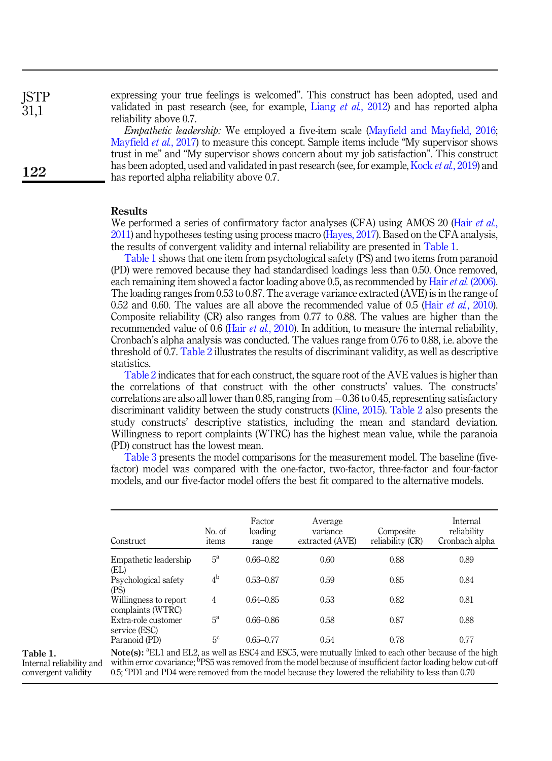**ISTP** 31,1

122

expressing your true feelings is welcomed". This construct has been adopted, used and validated in past research (see, for example, Liang *et al.*, 2012) and has reported alpha reliability above 0.7.

*Empathetic leadership:* We employed a five-item scale (Mayfield and Mayfield, 2016; Mayfield *et al.*, 2017) to measure this concept. Sample items include "My supervisor shows trust in me" and "My supervisor shows concern about my job satisfaction". This construct has been adopted, used and validated in past research (see, for example, Kock *et al.*, 2019) and has reported alpha reliability above 0.7.

## Results

We performed a series of confirmatory factor analyses (CFA) using AMOS 20 (Hair *et al.*, 2011) and hypotheses testing using process macro (Hayes, 2017). Based on the CFA analysis, the results of convergent validity and internal reliability are presented in Table 1.

Table 1 shows that one item from psychological safety (PS) and two items from paranoid (PD) were removed because they had standardised loadings less than 0.50. Once removed, each remaining item showed a factor loading above 0.5, as recommended by Hair*et al.* (2006). The loading ranges from 0.53 to 0.87. The average variance extracted (AVE) is in the range of 0.52 and 0.60. The values are all above the recommended value of 0.5 (Hair *et al.*, 2010). Composite reliability (CR) also ranges from 0.77 to 0.88. The values are higher than the recommended value of 0.6 (Hair *et al.*, 2010). In addition, to measure the internal reliability, Cronbach's alpha analysis was conducted. The values range from 0.76 to 0.88, i.e. above the threshold of 0.7. Table 2 illustrates the results of discriminant validity, as well as descriptive statistics.

Table 2 indicates that for each construct, the square root of the AVE values is higher than the correlations of that construct with the other constructs' values. The constructs' correlations are also all lower than 0.85, ranging from  $-0.36$  to 0.45, representing satisfactory discriminant validity between the study constructs (Kline, 2015). Table 2 also presents the study constructs' descriptive statistics, including the mean and standard deviation. Willingness to report complaints (WTRC) has the highest mean value, while the paranoia (PD) construct has the lowest mean.

Table 3 presents the model comparisons for the measurement model. The baseline (fivefactor) model was compared with the one-factor, two-factor, three-factor and four-factor models, and our five-factor model offers the best fit compared to the alternative models.

| Construct                                  | No. of<br>items | Factor<br>loading<br>range | Average<br>variance<br>extracted (AVE) | Composite<br>reliability (CR) | Internal<br>reliability<br>Cronbach alpha |
|--------------------------------------------|-----------------|----------------------------|----------------------------------------|-------------------------------|-------------------------------------------|
| Empathetic leadership<br>(EL)              | $5^{\rm a}$     | $0.66 - 0.82$              | 0.60                                   | 0.88                          | 0.89                                      |
| Psychological safety<br>(PS)               | 4 <sup>b</sup>  | $0.53 - 0.87$              | 0.59                                   | 0.85                          | 0.84                                      |
| Willingness to report<br>complaints (WTRC) | 4               | $0.64 - 0.85$              | 0.53                                   | 0.82                          | 0.81                                      |
| Extra-role customer<br>service (ESC)       | $5^{\rm a}$     | $0.66 - 0.86$              | 0.58                                   | 0.87                          | 0.88                                      |
| Paranoid (PD)                              | 5 <sup>c</sup>  | $0.65 - 0.77$              | 0.54                                   | 0.78                          | 0.77                                      |

Table 1.

Internal reliability and convergent validity

Note(s): <sup>a</sup>EL1 and EL2, as well as ESC4 and ESC5, were mutually linked to each other because of the high within error covariance; <sup>b</sup>PS5 was removed from the model because of insufficient factor loading below cut-off 0.5; PD1 and PD4 were removed from the model because they lowered the reliability to less than 0.70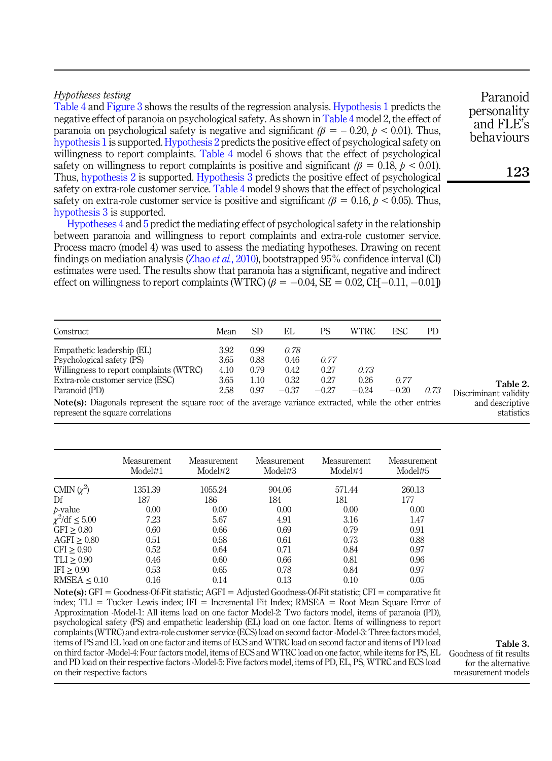## *Hypotheses testing*

Table 4 and Figure 3 shows the results of the regression analysis. Hypothesis 1 predicts the negative effect of paranoia on psychological safety. As shown in Table 4 model 2, the effect of paranoia on psychological safety is negative and significant  $(\beta = -0.20, \beta < 0.01)$ . Thus, hypothesis 1 is supported. Hypothesis 2 predicts the positive effect of psychological safety on willingness to report complaints. Table 4 model 6 shows that the effect of psychological safety on willingness to report complaints is positive and significant  $(\beta = 0.18, p < 0.01)$ . Thus, hypothesis 2 is supported. Hypothesis 3 predicts the positive effect of psychological safety on extra-role customer service. Table 4 model 9 shows that the effect of psychological safety on extra-role customer service is positive and significant  $(\beta = 0.16, p < 0.05)$ . Thus, hypothesis 3 is supported.

Hypotheses 4 and 5 predict the mediating effect of psychological safety in the relationship between paranoia and willingness to report complaints and extra-role customer service. Process macro (model 4) was used to assess the mediating hypotheses. Drawing on recent findings on mediation analysis (Zhao *et al.*, 2010), bootstrapped 95% confidence interval (CI) estimates were used. The results show that paranoia has a significant, negative and indirect effect on willingness to report complaints (WTRC)  $(\beta = -0.04, SE = 0.02, CI[-0.11, -0.01])$ 

| Construct                                                                                   | Mean | SD   | EL      | PS      | WTRC    | ESC     | PD   |
|---------------------------------------------------------------------------------------------|------|------|---------|---------|---------|---------|------|
| Empathetic leadership (EL)                                                                  | 3.92 | 0.99 | 0.78    |         |         |         |      |
| Psychological safety (PS)                                                                   | 3.65 | 0.88 | 0.46    | 0.77    |         |         |      |
| Willingness to report complaints (WTRC)                                                     | 4.10 | 0.79 | 0.42    | 0.27    | 0.73    |         |      |
| Extra-role customer service (ESC)                                                           | 3.65 | 1.10 | 0.32    | 0.27    | 0.26    | 0.77    |      |
| Paranoid (PD)                                                                               | 2.58 | 0.97 | $-0.37$ | $-0.27$ | $-0.24$ | $-0.20$ | 0.73 |
| Note(a): Diagonals represent the cause rest of the arreses reviewed which the other entries |      |      |         |         |         |         |      |

Note(s): Diagonals represent the square root of the average variance extracted, while the other entries represent the square correlations

|                              | Measurement<br>Model#1 | Measurement<br>Model#2 | Measurement<br>Model#3 | Measurement<br>Model#4 | Measurement<br>Model#5 |
|------------------------------|------------------------|------------------------|------------------------|------------------------|------------------------|
| CMIN $(\chi^2)$              | 1351.39                | 1055.24                | 904.06                 | 571.44                 | 260.13                 |
| Df                           | 187                    | 186                    | 184                    | 181                    | 177                    |
| <i>b</i> -value              | 0.00                   | 0.00                   | 0.00                   | 0.00                   | 0.00                   |
| $\chi^2/\text{df} \leq 5.00$ | 7.23                   | 5.67                   | 4.91                   | 3.16                   | 1.47                   |
| $GFI \geq 0.80$              | 0.60                   | 0.66                   | 0.69                   | 0.79                   | 0.91                   |
| $AGFI \geq 0.80$             | 0.51                   | 0.58                   | 0.61                   | 0.73                   | 0.88                   |
| CFI > 0.90                   | 0.52                   | 0.64                   | 0.71                   | 0.84                   | 0.97                   |
| $TLI \geq 0.90$              | 0.46                   | 0.60                   | 0.66                   | 0.81                   | 0.96                   |
| IFI > 0.90                   | 0.53                   | 0.65                   | 0.78                   | 0.84                   | 0.97                   |
| RMSEA < 0.10                 | 0.16                   | 0.14                   | 0.13                   | 0.10                   | 0.05                   |

 $Note(s): GFI = GoodnessOf-Fit statistic; AGFI = Adjusted GoodnessOf-Fit statistic; CFI = comparative fit$ index;  $TLI = Tucker-Lewis$  index;  $IFI = Incremental Fit$  Index;  $RMSEA = Root$  Mean Square Error of Approximation -Model-1: All items load on one factor Model-2: Two factors model, items of paranoia (PD), psychological safety (PS) and empathetic leadership (EL) load on one factor. Items of willingness to report complaints (WTRC) and extra-role customer service (ECS) load on second factor -Model-3: Three factors model, items of PS and EL load on one factor and items of ECS and WTRC load on second factor and items of PD load on third factor -Model-4: Four factors model, items of ECS and WTRC load on one factor, while items for PS, EL and PD load on their respective factors -Model-5: Five factors model, items of PD, EL, PS, WTRC and ECS load on their respective factors

123

Paranoid personality and FLE's behaviours

Table 2. Discriminant validity and descriptive

statistics

Table 3. Goodness of fit results for the alternative measurement models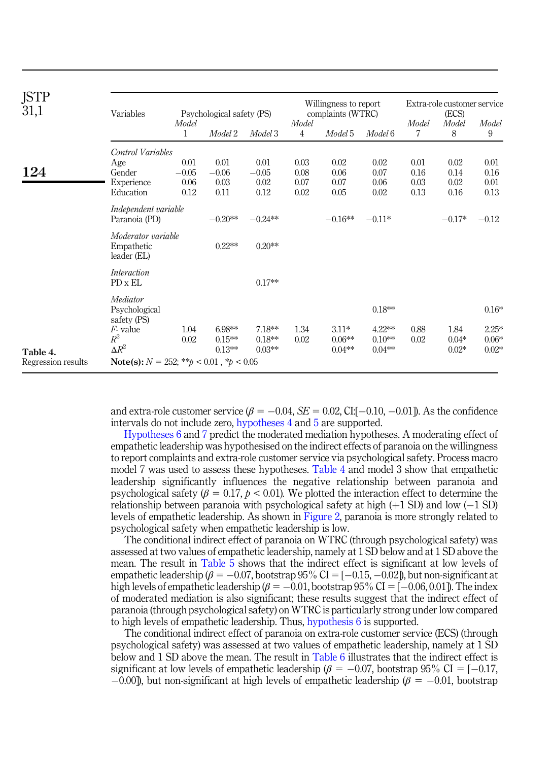| <b>JSTP</b><br>31,1            | Variables                                                                |                                 | Psychological safety (PS)       |                                 | Willingness to report<br>complaints (WTRC) |                              |                                   | Extra-role customer service<br>(ECS) |                              |                               |
|--------------------------------|--------------------------------------------------------------------------|---------------------------------|---------------------------------|---------------------------------|--------------------------------------------|------------------------------|-----------------------------------|--------------------------------------|------------------------------|-------------------------------|
|                                |                                                                          | Model<br>1                      | Model 2                         | Model 3                         | Model<br>4                                 | Model 5                      | Model 6                           | Model<br>7                           | Model<br>8                   | Model<br>9                    |
| 124                            | Control Variables<br>Age<br>Gender<br>Experience<br>Education            | 0.01<br>$-0.05$<br>0.06<br>0.12 | 0.01<br>$-0.06$<br>0.03<br>0.11 | 0.01<br>$-0.05$<br>0.02<br>0.12 | 0.03<br>0.08<br>0.07<br>0.02               | 0.02<br>0.06<br>0.07<br>0.05 | 0.02<br>0.07<br>0.06<br>0.02      | 0.01<br>0.16<br>0.03<br>0.13         | 0.02<br>0.14<br>0.02<br>0.16 | 0.01<br>0.16<br>0.01<br>0.13  |
|                                | Independent variable<br>Paranoia (PD)                                    |                                 | $-0.20**$                       | $-0.24**$                       |                                            | $-0.16**$                    | $-0.11*$                          |                                      | $-0.17*$                     | $-0.12$                       |
|                                | Moderator variable<br>Empathetic<br>leader (EL)                          |                                 | $0.22**$                        | $0.20**$                        |                                            |                              |                                   |                                      |                              |                               |
|                                | Interaction<br>PD x EL                                                   |                                 |                                 | $0.17**$                        |                                            |                              |                                   |                                      |                              |                               |
|                                | Mediator<br>Psychological<br>safety (PS)<br>$F1$ value<br>$R^2$          | 1.04<br>0.02                    | $6.98**$<br>$0.15**$            | $7.18**$<br>$0.18**$            | 1.34<br>0.02                               | $3.11*$<br>$0.06**$          | $0.18**$<br>$4.22***$<br>$0.10**$ | 0.88<br>0.02                         | 1.84<br>$0.04*$              | $0.16*$<br>$2.25*$<br>$0.06*$ |
| Table 4.<br>Regression results | $\Delta R^2$<br><b>Note(s):</b> $N = 252$ : ** $b < 0.01$ , * $b < 0.05$ |                                 | $0.13**$                        | $0.03**$                        |                                            | $0.04**$                     | $0.04**$                          |                                      | $0.02*$                      | $0.02*$                       |

and extra-role customer service  $(\beta = -0.04, SE = 0.02, CI[-0.10, -0.01])$ . As the confidence intervals do not include zero, hypotheses 4 and 5 are supported.

Hypotheses 6 and 7 predict the moderated mediation hypotheses. A moderating effect of empathetic leadership was hypothesised on the indirect effects of paranoia on the willingness to report complaints and extra-role customer service via psychological safety. Process macro model 7 was used to assess these hypotheses. Table 4 and model 3 show that empathetic leadership significantly influences the negative relationship between paranoia and psychological safety ( $\beta = 0.17$ ,  $p < 0.01$ ). We plotted the interaction effect to determine the relationship between paranoia with psychological safety at high  $(+1 S D)$  and low  $(-1 S D)$ levels of empathetic leadership. As shown in Figure 2, paranoia is more strongly related to psychological safety when empathetic leadership is low.

The conditional indirect effect of paranoia on WTRC (through psychological safety) was assessed at two values of empathetic leadership, namely at 1 SD below and at 1 SD above the mean. The result in Table 5 shows that the indirect effect is significant at low levels of empathetic leadership ( $\beta = -0.07$ , bootstrap 95% CI = [-0.15, -0.02]), but non-significant at high levels of empathetic leadership ( $\beta = -0.01$ , bootstrap 95% CI = [-0.06, 0.01]). The index of moderated mediation is also significant; these results suggest that the indirect effect of paranoia (through psychological safety) on WTRC is particularly strong under low compared to high levels of empathetic leadership. Thus, hypothesis 6 is supported.

The conditional indirect effect of paranoia on extra-role customer service (ECS) (through psychological safety) was assessed at two values of empathetic leadership, namely at 1 SD below and 1 SD above the mean. The result in Table 6 illustrates that the indirect effect is significant at low levels of empathetic leadership ( $\beta = -0.07$ , bootstrap 95% CI = [-0.17,  $-0.00$ ]), but non-significant at high levels of empathetic leadership ( $\beta = -0.01$ , bootstrap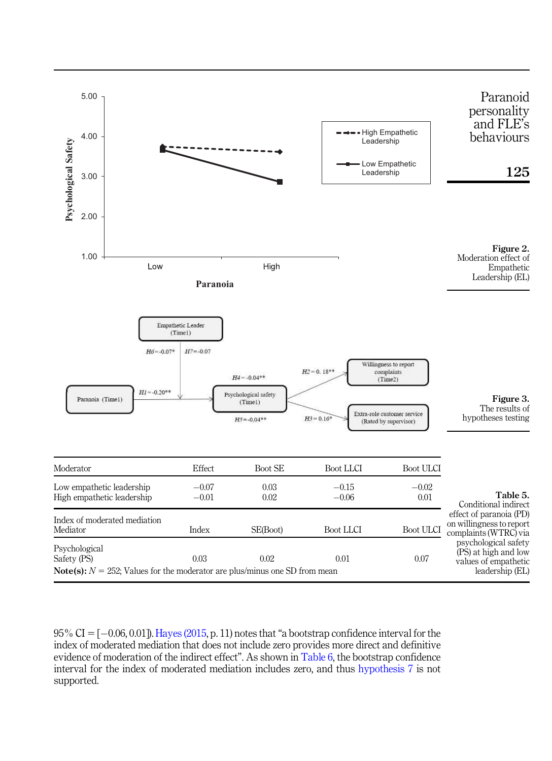

 $95\%$  CI =  $[-0.06, 0.01]$ ). Hayes (2015, p. 11) notes that "a bootstrap confidence interval for the index of moderated mediation that does not include zero provides more direct and definitive evidence of moderation of the indirect effect". As shown in Table 6, the bootstrap confidence interval for the index of moderated mediation includes zero, and thus hypothesis 7 is not supported.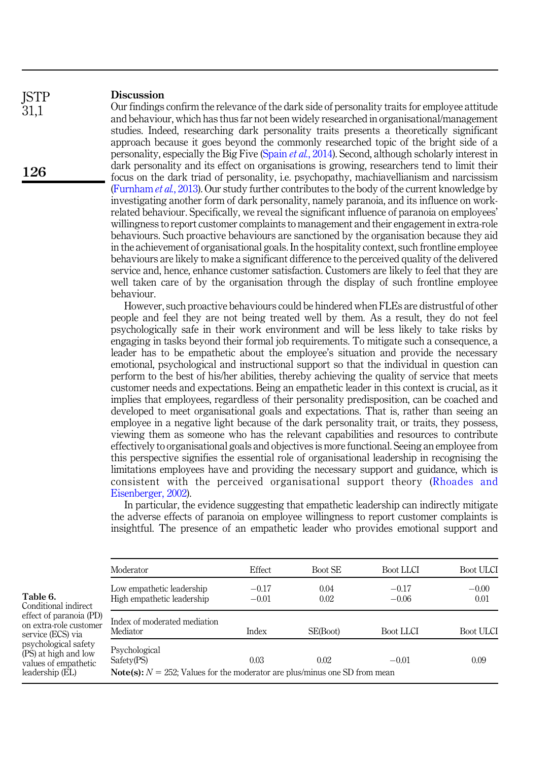#### **Discussion ISTP**

31,1

126

Our findings confirm the relevance of the dark side of personality traits for employee attitude and behaviour, which has thus far not been widely researched in organisational/management studies. Indeed, researching dark personality traits presents a theoretically significant approach because it goes beyond the commonly researched topic of the bright side of a personality, especially the Big Five (Spain *et al.*, 2014). Second, although scholarly interest in dark personality and its effect on organisations is growing, researchers tend to limit their focus on the dark triad of personality, i.e. psychopathy, machiavellianism and narcissism (Furnham *et al.*, 2013). Our study further contributes to the body of the current knowledge by investigating another form of dark personality, namely paranoia, and its influence on workrelated behaviour. Specifically, we reveal the significant influence of paranoia on employees' willingness to report customer complaints to management and their engagement in extra-role behaviours. Such proactive behaviours are sanctioned by the organisation because they aid in the achievement of organisational goals. In the hospitality context, such frontline employee behaviours are likely to make a significant difference to the perceived quality of the delivered service and, hence, enhance customer satisfaction. Customers are likely to feel that they are well taken care of by the organisation through the display of such frontline employee behaviour.

However, such proactive behaviours could be hindered when FLEs are distrustful of other people and feel they are not being treated well by them. As a result, they do not feel psychologically safe in their work environment and will be less likely to take risks by engaging in tasks beyond their formal job requirements. To mitigate such a consequence, a leader has to be empathetic about the employee's situation and provide the necessary emotional, psychological and instructional support so that the individual in question can perform to the best of his/her abilities, thereby achieving the quality of service that meets customer needs and expectations. Being an empathetic leader in this context is crucial, as it implies that employees, regardless of their personality predisposition, can be coached and developed to meet organisational goals and expectations. That is, rather than seeing an employee in a negative light because of the dark personality trait, or traits, they possess, viewing them as someone who has the relevant capabilities and resources to contribute effectively to organisational goals and objectives is more functional. Seeing an employee from this perspective signifies the essential role of organisational leadership in recognising the limitations employees have and providing the necessary support and guidance, which is consistent with the perceived organisational support theory (Rhoades and Eisenberger, 2002).

In particular, the evidence suggesting that empathetic leadership can indirectly mitigate the adverse effects of paranoia on employee willingness to report customer complaints is insightful. The presence of an empathetic leader who provides emotional support and

|                                                                                                                                                                                                       | Moderator                                                                                                           | Effect             | Boot SE      | Boot LLCI          | Boot ULCI       |
|-------------------------------------------------------------------------------------------------------------------------------------------------------------------------------------------------------|---------------------------------------------------------------------------------------------------------------------|--------------------|--------------|--------------------|-----------------|
| Table 6.<br>Conditional indirect<br>effect of paranoia (PD)<br>on extra-role customer<br>service (ECS) via<br>psychological safety<br>(PS) at high and low<br>values of empathetic<br>leadership (EL) | Low empathetic leadership<br>High empathetic leadership                                                             | $-0.17$<br>$-0.01$ | 0.04<br>0.02 | $-0.17$<br>$-0.06$ | $-0.00$<br>0.01 |
|                                                                                                                                                                                                       | Index of moderated mediation<br>Mediator                                                                            | Index              | SE(Boot)     | Boot LLCI          | Boot ULCI       |
|                                                                                                                                                                                                       | Psychological<br>Safety(PS)<br><b>Note(s):</b> $N = 252$ ; Values for the moderator are plus/minus one SD from mean | 0.03               | 0.02         | $-0.01$            | 0.09            |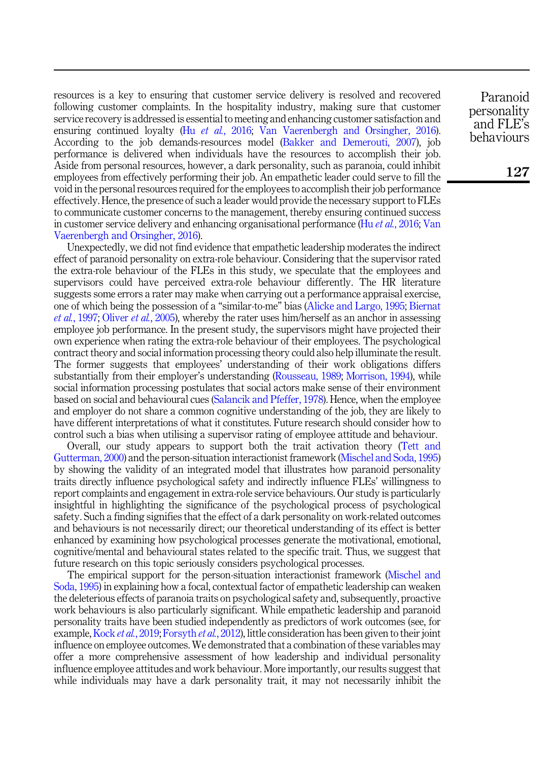resources is a key to ensuring that customer service delivery is resolved and recovered following customer complaints. In the hospitality industry, making sure that customer service recovery is addressed is essential to meeting and enhancing customer satisfaction and ensuring continued loyalty (Hu *et al.*, 2016; Van Vaerenbergh and Orsingher, 2016). According to the job demands-resources model (Bakker and Demerouti, 2007), job performance is delivered when individuals have the resources to accomplish their job. Aside from personal resources, however, a dark personality, such as paranoia, could inhibit employees from effectively performing their job. An empathetic leader could serve to fill the void in the personal resources required for the employees to accomplish their job performance effectively. Hence, the presence of such a leader would provide the necessary support to FLEs to communicate customer concerns to the management, thereby ensuring continued success in customer service delivery and enhancing organisational performance (Hu *et al.*, 2016; Van Vaerenbergh and Orsingher, 2016).

Unexpectedly, we did not find evidence that empathetic leadership moderates the indirect effect of paranoid personality on extra-role behaviour. Considering that the supervisor rated the extra-role behaviour of the FLEs in this study, we speculate that the employees and supervisors could have perceived extra-role behaviour differently. The HR literature suggests some errors a rater may make when carrying out a performance appraisal exercise, one of which being the possession of a "similar-to-me" bias (Alicke and Largo, 1995; Biernat *et al.*, 1997; Oliver *et al.*, 2005), whereby the rater uses him/herself as an anchor in assessing employee job performance. In the present study, the supervisors might have projected their own experience when rating the extra-role behaviour of their employees. The psychological contract theory and social information processing theory could also help illuminate the result. The former suggests that employees' understanding of their work obligations differs substantially from their employer's understanding (Rousseau, 1989; Morrison, 1994), while social information processing postulates that social actors make sense of their environment based on social and behavioural cues (Salancik and Pfeffer, 1978). Hence, when the employee and employer do not share a common cognitive understanding of the job, they are likely to have different interpretations of what it constitutes. Future research should consider how to control such a bias when utilising a supervisor rating of employee attitude and behaviour.

Overall, our study appears to support both the trait activation theory (Tett and Gutterman, 2000) and the person-situation interactionist framework (Mischel and Soda, 1995) by showing the validity of an integrated model that illustrates how paranoid personality traits directly influence psychological safety and indirectly influence FLEs' willingness to report complaints and engagement in extra-role service behaviours. Our study is particularly insightful in highlighting the significance of the psychological process of psychological safety. Such a finding signifies that the effect of a dark personality on work-related outcomes and behaviours is not necessarily direct; our theoretical understanding of its effect is better enhanced by examining how psychological processes generate the motivational, emotional, cognitive/mental and behavioural states related to the specific trait. Thus, we suggest that future research on this topic seriously considers psychological processes.

The empirical support for the person-situation interactionist framework (Mischel and Soda, 1995) in explaining how a focal, contextual factor of empathetic leadership can weaken the deleterious effects of paranoia traits on psychological safety and, subsequently, proactive work behaviours is also particularly significant. While empathetic leadership and paranoid personality traits have been studied independently as predictors of work outcomes (see, for example, Kock *et al.*, 2019; Forsyth *et al.*, 2012), little consideration has been given to their joint influence on employee outcomes. We demonstrated that a combination of these variables may offer a more comprehensive assessment of how leadership and individual personality influence employee attitudes and work behaviour. More importantly, our results suggest that while individuals may have a dark personality trait, it may not necessarily inhibit the

Paranoid personality and FLE's behaviours

127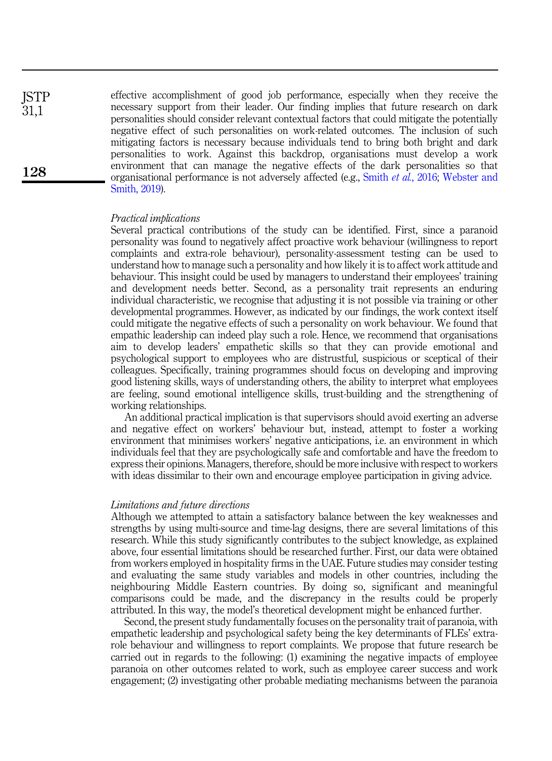effective accomplishment of good job performance, especially when they receive the necessary support from their leader. Our finding implies that future research on dark personalities should consider relevant contextual factors that could mitigate the potentially negative effect of such personalities on work-related outcomes. The inclusion of such mitigating factors is necessary because individuals tend to bring both bright and dark personalities to work. Against this backdrop, organisations must develop a work environment that can manage the negative effects of the dark personalities so that organisational performance is not adversely affected (e.g., Smith *et al.*, 2016; Webster and Smith, 2019). **ISTP** 31,1

### *Practical implications*

Several practical contributions of the study can be identified. First, since a paranoid personality was found to negatively affect proactive work behaviour (willingness to report complaints and extra-role behaviour), personality-assessment testing can be used to understand how to manage such a personality and how likely it is to affect work attitude and behaviour. This insight could be used by managers to understand their employees' training and development needs better. Second, as a personality trait represents an enduring individual characteristic, we recognise that adjusting it is not possible via training or other developmental programmes. However, as indicated by our findings, the work context itself could mitigate the negative effects of such a personality on work behaviour. We found that empathic leadership can indeed play such a role. Hence, we recommend that organisations aim to develop leaders' empathetic skills so that they can provide emotional and psychological support to employees who are distrustful, suspicious or sceptical of their colleagues. Specifically, training programmes should focus on developing and improving good listening skills, ways of understanding others, the ability to interpret what employees are feeling, sound emotional intelligence skills, trust-building and the strengthening of working relationships.

An additional practical implication is that supervisors should avoid exerting an adverse and negative effect on workers' behaviour but, instead, attempt to foster a working environment that minimises workers' negative anticipations, i.e. an environment in which individuals feel that they are psychologically safe and comfortable and have the freedom to express their opinions. Managers, therefore, should be more inclusive with respect to workers with ideas dissimilar to their own and encourage employee participation in giving advice.

## *Limitations and future directions*

Although we attempted to attain a satisfactory balance between the key weaknesses and strengths by using multi-source and time-lag designs, there are several limitations of this research. While this study significantly contributes to the subject knowledge, as explained above, four essential limitations should be researched further. First, our data were obtained from workers employed in hospitality firms in the UAE. Future studies may consider testing and evaluating the same study variables and models in other countries, including the neighbouring Middle Eastern countries. By doing so, significant and meaningful comparisons could be made, and the discrepancy in the results could be properly attributed. In this way, the model's theoretical development might be enhanced further.

Second, the present study fundamentally focuses on the personality trait of paranoia, with empathetic leadership and psychological safety being the key determinants of FLEs' extrarole behaviour and willingness to report complaints. We propose that future research be carried out in regards to the following: (1) examining the negative impacts of employee paranoia on other outcomes related to work, such as employee career success and work engagement; (2) investigating other probable mediating mechanisms between the paranoia

128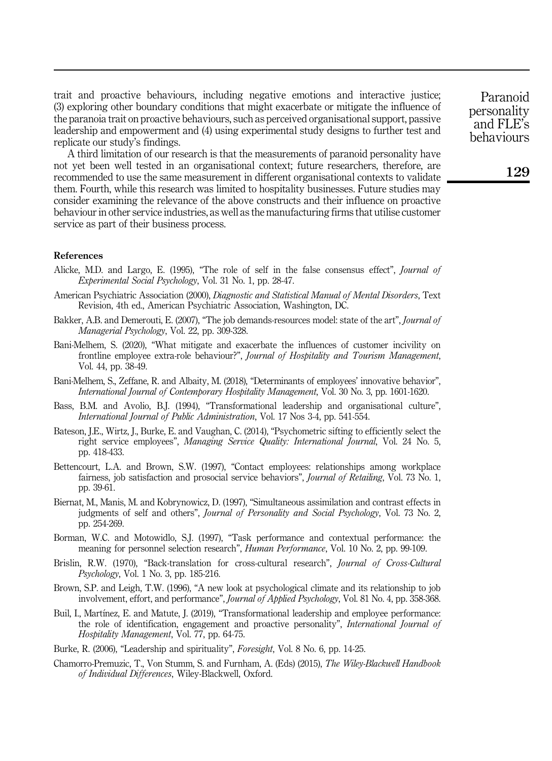trait and proactive behaviours, including negative emotions and interactive justice; (3) exploring other boundary conditions that might exacerbate or mitigate the influence of the paranoia trait on proactive behaviours, such as perceived organisational support, passive leadership and empowerment and (4) using experimental study designs to further test and replicate our study's findings.

A third limitation of our research is that the measurements of paranoid personality have not yet been well tested in an organisational context; future researchers, therefore, are recommended to use the same measurement in different organisational contexts to validate them. Fourth, while this research was limited to hospitality businesses. Future studies may consider examining the relevance of the above constructs and their influence on proactive behaviour in other service industries, as well as the manufacturing firms that utilise customer service as part of their business process.

#### References

- Alicke, M.D. and Largo, E. (1995), "The role of self in the false consensus effect", *Journal of Experimental Social Psychology*, Vol. 31 No. 1, pp. 28-47.
- American Psychiatric Association (2000), *Diagnostic and Statistical Manual of Mental Disorders*, Text Revision, 4th ed., American Psychiatric Association, Washington, DC.
- Bakker, A.B. and Demerouti, E. (2007), "The job demands-resources model: state of the art", *Journal of Managerial Psychology*, Vol. 22, pp. 309-328.
- Bani-Melhem, S. (2020), "What mitigate and exacerbate the influences of customer incivility on frontline employee extra-role behaviour?", *Journal of Hospitality and Tourism Management*, Vol. 44, pp. 38-49.
- Bani-Melhem, S., Zeffane, R. and Albaity, M. (2018), "Determinants of employees' innovative behavior", *International Journal of Contemporary Hospitality Management*, Vol. 30 No. 3, pp. 1601-1620.
- Bass, B.M. and Avolio, B.J. (1994), "Transformational leadership and organisational culture", *International Journal of Public Administration*, Vol. 17 Nos 3-4, pp. 541-554.
- Bateson, J.E., Wirtz, J., Burke, E. and Vaughan, C. (2014), "Psychometric sifting to efficiently select the right service employees", *Managing Service Quality: International Journal*, Vol. 24 No. 5, pp. 418-433.
- Bettencourt, L.A. and Brown, S.W. (1997), "Contact employees: relationships among workplace fairness, job satisfaction and prosocial service behaviors", *Journal of Retailing*, Vol. 73 No. 1, pp. 39-61.
- Biernat, M., Manis, M. and Kobrynowicz, D. (1997), "Simultaneous assimilation and contrast effects in judgments of self and others", *Journal of Personality and Social Psychology*, Vol. 73 No. 2, pp. 254-269.
- Borman, W.C. and Motowidlo, S.J. (1997), "Task performance and contextual performance: the meaning for personnel selection research", *Human Performance*, Vol. 10 No. 2, pp. 99-109.
- Brislin, R.W. (1970), "Back-translation for cross-cultural research", *Journal of Cross-Cultural Psychology*, Vol. 1 No. 3, pp. 185-216.
- Brown, S.P. and Leigh, T.W. (1996), "A new look at psychological climate and its relationship to job involvement, effort, and performance", *Journal of Applied Psychology*, Vol. 81 No. 4, pp. 358-368.
- Buil, I., Martínez, E. and Matute, J. (2019), "Transformational leadership and employee performance: the role of identification, engagement and proactive personality", *International Journal of Hospitality Management*, Vol. 77, pp. 64-75.
- Burke, R. (2006), "Leadership and spirituality", *Foresight*, Vol. 8 No. 6, pp. 14-25.
- Chamorro-Premuzic, T., Von Stumm, S. and Furnham, A. (Eds) (2015), *The Wiley-Blackwell Handbook of Individual Differences*, Wiley-Blackwell, Oxford.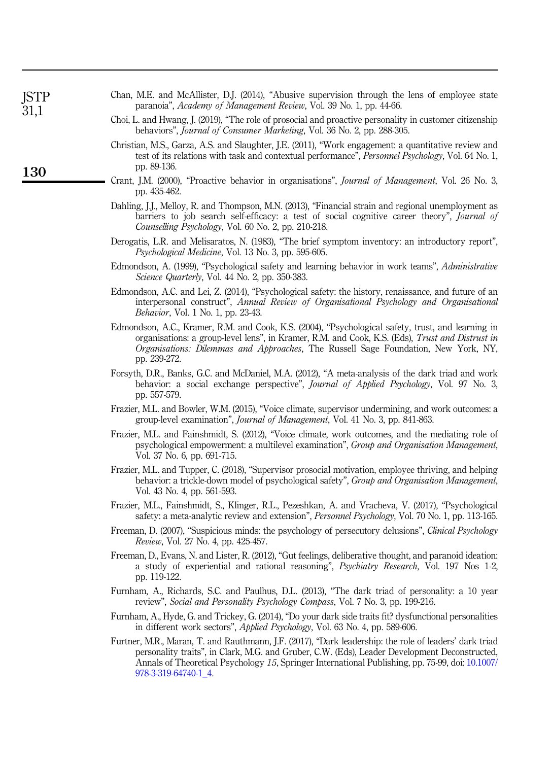| ISTP<br>31,1 | Chan, M.E. and McAllister, D.J. (2014), "Abusive supervision through the lens of employee state<br>paranoia", Academy of Management Review, Vol. 39 No. 1, pp. 44-66.                                                                                                                                                               |
|--------------|-------------------------------------------------------------------------------------------------------------------------------------------------------------------------------------------------------------------------------------------------------------------------------------------------------------------------------------|
|              | Choi, L. and Hwang, J. (2019), "The role of prosocial and proactive personality in customer citizenship<br>behaviors", <i>Journal of Consumer Marketing</i> , Vol. 36 No. 2, pp. 288-305.                                                                                                                                           |
| 130          | Christian, M.S., Garza, A.S. and Slaughter, J.E. (2011), "Work engagement: a quantitative review and<br>test of its relations with task and contextual performance", Personnel Psychology, Vol. 64 No. 1,<br>pp. 89-136.                                                                                                            |
|              | Crant, J.M. (2000), "Proactive behavior in organisations", Journal of Management, Vol. 26 No. 3,<br>pp. 435-462.                                                                                                                                                                                                                    |
|              | Dahling, J.J., Melloy, R. and Thompson, M.N. (2013), "Financial strain and regional unemployment as<br>barriers to job search self-efficacy: a test of social cognitive career theory", Journal of<br>Counselling Psychology, Vol. 60 No. 2, pp. 210-218.                                                                           |
|              | Derogatis, L.R. and Melisaratos, N. (1983), "The brief symptom inventory: an introductory report",<br>Psychological Medicine, Vol. 13 No. 3, pp. 595-605.                                                                                                                                                                           |
|              | Edmondson, A. (1999), "Psychological safety and learning behavior in work teams", Administrative<br>Science Quarterly, Vol. 44 No. 2, pp. 350-383.                                                                                                                                                                                  |
|              | Edmondson, A.C. and Lei, Z. (2014), "Psychological safety: the history, renaissance, and future of an<br>interpersonal construct", Annual Review of Organisational Psychology and Organisational<br><i>Behavior</i> , Vol. 1 No. 1, pp. 23-43.                                                                                      |
|              | Edmondson, A.C., Kramer, R.M. and Cook, K.S. (2004), "Psychological safety, trust, and learning in<br>organisations: a group-level lens", in Kramer, R.M. and Cook, K.S. (Eds), Trust and Distrust in<br>Organisations: Dilemmas and Approaches, The Russell Sage Foundation, New York, NY,<br>pp. 239-272.                         |
|              | Forsyth, D.R., Banks, G.C. and McDaniel, M.A. (2012), "A meta-analysis of the dark triad and work<br>behavior: a social exchange perspective", <i>Journal of Applied Psychology</i> , Vol. 97 No. 3,<br>pp. 557-579.                                                                                                                |
|              | Frazier, M.L. and Bowler, W.M. (2015), "Voice climate, supervisor undermining, and work outcomes: a<br>group-level examination", <i>Journal of Management</i> , Vol. 41 No. 3, pp. 841-863.                                                                                                                                         |
|              | Frazier, M.L. and Fainshmidt, S. (2012), "Voice climate, work outcomes, and the mediating role of<br>psychological empowerment: a multilevel examination", Group and Organisation Management,<br>Vol. 37 No. 6, pp. 691-715.                                                                                                        |
|              | Frazier, M.L. and Tupper, C. (2018), "Supervisor prosocial motivation, employee thriving, and helping<br>behavior: a trickle-down model of psychological safety", Group and Organisation Management,<br>Vol. 43 No. 4, pp. 561-593.                                                                                                 |
|              | Frazier, M.L., Fainshmidt, S., Klinger, R.L., Pezeshkan, A. and Vracheva, V. (2017), "Psychological<br>safety: a meta-analytic review and extension", <i>Personnel Psychology</i> , Vol. 70 No. 1, pp. 113-165.                                                                                                                     |
|              | Freeman, D. (2007), "Suspicious minds: the psychology of persecutory delusions", <i>Clinical Psychology</i><br>Review, Vol. 27 No. 4, pp. 425-457.                                                                                                                                                                                  |
|              | Freeman, D., Evans, N. and Lister, R. (2012), "Gut feelings, deliberative thought, and paranoid ideation:<br>a study of experiential and rational reasoning", <i>Psychiatry Research</i> , Vol. 197 Nos 1-2,<br>pp. 119-122.                                                                                                        |
|              | Furnham, A., Richards, S.C. and Paulhus, D.L. (2013), "The dark triad of personality: a 10 year<br>review", Social and Personality Psychology Compass, Vol. 7 No. 3, pp. 199-216.                                                                                                                                                   |
|              | Furnham, A., Hyde, G. and Trickey, G. (2014), "Do your dark side traits fit? dysfunctional personalities<br>in different work sectors", <i>Applied Psychology</i> , Vol. 63 No. 4, pp. 589-606.                                                                                                                                     |
|              | Furtner, M.R., Maran, T. and Rauthmann, J.F. (2017), "Dark leadership: the role of leaders' dark triad<br>personality traits", in Clark, M.G. and Gruber, C.W. (Eds), Leader Development Deconstructed,<br>Annals of Theoretical Psychology 15, Springer International Publishing, pp. 75-99, doi: 10.1007/<br>978-3-319-64740-1_4. |
|              |                                                                                                                                                                                                                                                                                                                                     |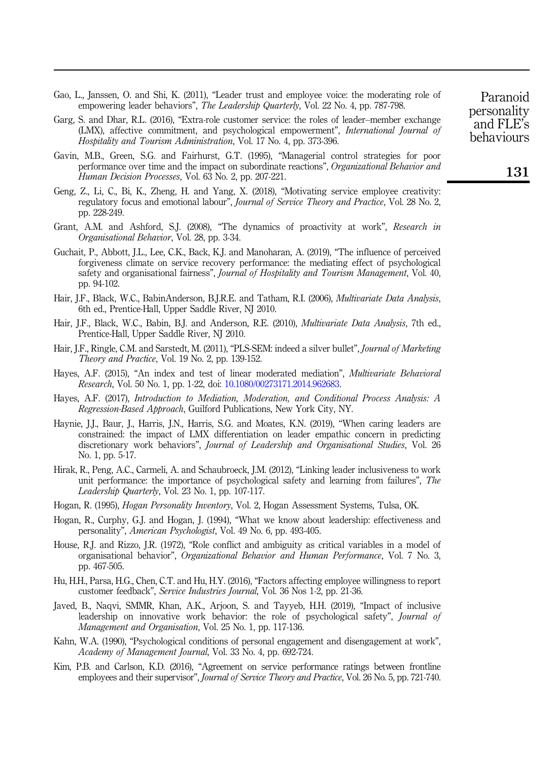- Gao, L., Janssen, O. and Shi, K. (2011), "Leader trust and employee voice: the moderating role of empowering leader behaviors", *The Leadership Quarterly*, Vol. 22 No. 4, pp. 787-798.
- Garg, S. and Dhar, R.L. (2016), "Extra-role customer service: the roles of leader–member exchange (LMX), affective commitment, and psychological empowerment", *International Journal of Hospitality and Tourism Administration*, Vol. 17 No. 4, pp. 373-396.
- Gavin, M.B., Green, S.G. and Fairhurst, G.T. (1995), "Managerial control strategies for poor performance over time and the impact on subordinate reactions", *Organizational Behavior and Human Decision Processes*, Vol. 63 No. 2, pp. 207-221.
- Geng, Z., Li, C., Bi, K., Zheng, H. and Yang, X. (2018), "Motivating service employee creativity: regulatory focus and emotional labour", *Journal of Service Theory and Practice*, Vol. 28 No. 2, pp. 228-249.
- Grant, A.M. and Ashford, S.J. (2008), "The dynamics of proactivity at work", *Research in Organisational Behavior*, Vol. 28, pp. 3-34.
- Guchait, P., Abbott, J.L., Lee, C.K., Back, K.J. and Manoharan, A. (2019), "The influence of perceived forgiveness climate on service recovery performance: the mediating effect of psychological safety and organisational fairness", *Journal of Hospitality and Tourism Management*, Vol. 40, pp. 94-102.
- Hair, J.F., Black, W.C., BabinAnderson, B.J.R.E. and Tatham, R.I. (2006), *Multivariate Data Analysis*, 6th ed., Prentice-Hall, Upper Saddle River, NJ 2010.
- Hair, J.F., Black, W.C., Babin, B.J. and Anderson, R.E. (2010), *Multivariate Data Analysis*, 7th ed., Prentice-Hall, Upper Saddle River, NJ 2010.
- Hair, J.F., Ringle, C.M. and Sarstedt, M. (2011), "PLS-SEM: indeed a silver bullet", *Journal of Marketing Theory and Practice*, Vol. 19 No. 2, pp. 139-152.
- Hayes, A.F. (2015), "An index and test of linear moderated mediation", *Multivariate Behavioral Research*, Vol. 50 No. 1, pp. 1-22, doi: 10.1080/00273171.2014.962683.
- Hayes, A.F. (2017), *Introduction to Mediation, Moderation, and Conditional Process Analysis: A Regression-Based Approach*, Guilford Publications, New York City, NY.
- Haynie, J.J., Baur, J., Harris, J.N., Harris, S.G. and Moates, K.N. (2019), "When caring leaders are constrained: the impact of LMX differentiation on leader empathic concern in predicting discretionary work behaviors", *Journal of Leadership and Organisational Studies*, Vol. 26 No. 1, pp. 5-17.
- Hirak, R., Peng, A.C., Carmeli, A. and Schaubroeck, J.M. (2012), "Linking leader inclusiveness to work unit performance: the importance of psychological safety and learning from failures", *The Leadership Quarterly*, Vol. 23 No. 1, pp. 107-117.
- Hogan, R. (1995), *Hogan Personality Inventory*, Vol. 2, Hogan Assessment Systems, Tulsa, OK.
- Hogan, R., Curphy, G.J. and Hogan, J. (1994), "What we know about leadership: effectiveness and personality", *American Psychologist*, Vol. 49 No. 6, pp. 493-405.
- House, R.J. and Rizzo, J.R. (1972), "Role conflict and ambiguity as critical variables in a model of organisational behavior", *Organizational Behavior and Human Performance*, Vol. 7 No. 3, pp. 467-505.
- Hu, H.H., Parsa, H.G., Chen, C.T. and Hu, H.Y. (2016), "Factors affecting employee willingness to report customer feedback", *Service Industries Journal*, Vol. 36 Nos 1-2, pp. 21-36.
- Javed, B., Naqvi, SMMR, Khan, A.K., Arjoon, S. and Tayyeb, H.H. (2019), "Impact of inclusive leadership on innovative work behavior: the role of psychological safety", *Journal of Management and Organisation*, Vol. 25 No. 1, pp. 117-136.
- Kahn, W.A. (1990), "Psychological conditions of personal engagement and disengagement at work", *Academy of Management Journal*, Vol. 33 No. 4, pp. 692-724.
- Kim, P.B. and Carlson, K.D. (2016), "Agreement on service performance ratings between frontline employees and their supervisor", *Journal of Service Theory and Practice*, Vol. 26 No. 5, pp. 721-740.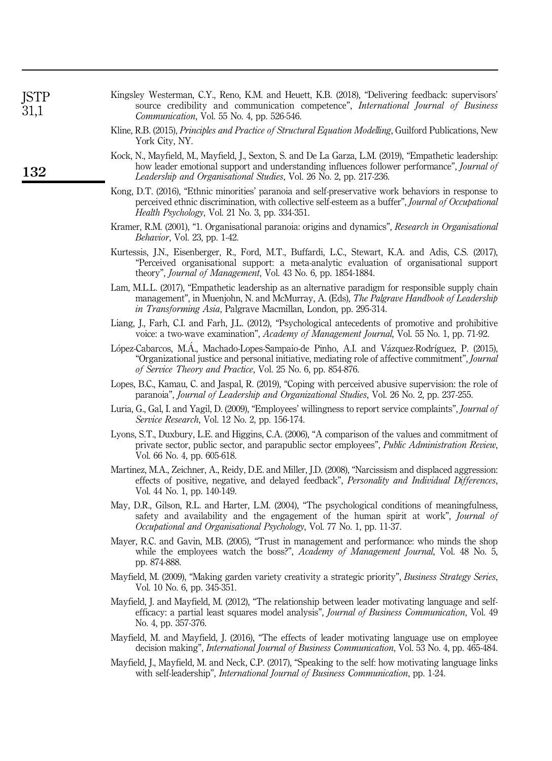| JSTP<br>31,1 | Kingsley Westerman, C.Y., Reno, K.M. and Heuett, K.B. (2018), "Delivering feedback: supervisors"<br>source credibility and communication competence", <i>International Journal of Business</i><br>Communication, Vol. 55 No. 4, pp. 526-546.                                |
|--------------|-----------------------------------------------------------------------------------------------------------------------------------------------------------------------------------------------------------------------------------------------------------------------------|
|              | Kline, R.B. (2015), Principles and Practice of Structural Equation Modelling, Guilford Publications, New<br>York City, NY.                                                                                                                                                  |
| 132          | Kock, N., Mayfield, M., Mayfield, J., Sexton, S. and De La Garza, L.M. (2019), "Empathetic leadership:<br>how leader emotional support and understanding influences follower performance", Journal of<br>Leadership and Organisational Studies, Vol. 26 No. 2, pp. 217-236. |
|              | Kong, D.T. (2016), "Ethnic minorities' paranoia and self-preservative work behaviors in response to<br>perceived ethnic discrimination, with collective self-esteem as a buffer", <i>Journal of Occupational</i><br><i>Health Psychology</i> , Vol. 21 No. 3, pp. 334-351.  |
|              | Kramer, R.M. (2001), "1. Organisational paranoia: origins and dynamics", Research in Organisational<br><i>Behavior</i> , Vol. 23, pp. 1-42.                                                                                                                                 |
|              | Kurtessis, J.N., Eisenberger, R., Ford, M.T., Buffardi, L.C., Stewart, K.A. and Adis, C.S. (2017),<br>"Perceived organisational support: a meta-analytic evaluation of organisational support<br>theory", Journal of Management, Vol. 43 No. 6, pp. 1854-1884.              |
|              | Lam, M.L.L. (2017), "Empathetic leadership as an alternative paradigm for responsible supply chain<br>management", in Muenjohn, N. and McMurray, A. (Eds), The Palgrave Handbook of Leadership<br>in Transforming Asia, Palgrave Macmillan, London, pp. 295-314.            |
|              | Liang, J., Farh, C.I. and Farh, J.L. (2012), "Psychological antecedents of promotive and prohibitive<br>voice: a two-wave examination", Academy of Management Journal, Vol. 55 No. 1, pp. 71-92.                                                                            |
|              | López-Cabarcos, M.Á., Machado-Lopes-Sampaio-de Pinho, A.I. and Vázquez-Rodríguez, P. (2015),<br>"Organizational justice and personal initiative, mediating role of affective commitment", <i>Journal</i><br>of Service Theory and Practice, Vol. 25 No. 6, pp. 854-876.     |
|              | Lopes, B.C., Kamau, C. and Jaspal, R. (2019), "Coping with perceived abusive supervision: the role of<br>paranoia", Journal of Leadership and Organizational Studies, Vol. 26 No. 2, pp. 237-255.                                                                           |
|              | Luria, G., Gal, I. and Yagil, D. (2009), "Employees' willingness to report service complaints", Journal of<br><i>Service Research, Vol. 12 No. 2, pp. 156-174.</i>                                                                                                          |
|              | Lyons, S.T., Duxbury, L.E. and Higgins, C.A. (2006), "A comparison of the values and commitment of<br>private sector, public sector, and parapublic sector employees", Public Administration Review,<br>Vol. 66 No. 4, pp. 605-618.                                         |
|              | Martinez, M.A., Zeichner, A., Reidy, D.E. and Miller, J.D. (2008), "Narcissism and displaced aggression:<br>effects of positive, negative, and delayed feedback", Personality and Individual Differences,<br>Vol. 44 No. 1, pp. 140-149.                                    |
|              | May, D.R., Gilson, R.L. and Harter, L.M. (2004), "The psychological conditions of meaningfulness,<br>safety and availability and the engagement of the human spirit at work", <i>Journal of</i><br>Occupational and Organisational Psychology, Vol. 77 No. 1, pp. 11-37.    |
|              | Mayer, R.C. and Gavin, M.B. (2005), "Trust in management and performance: who minds the shop<br>while the employees watch the boss?", Academy of Management Journal, Vol. 48 No. 5,<br>pp. 874-888.                                                                         |
|              | Mayfield, M. (2009), "Making garden variety creativity a strategic priority", Business Strategy Series,<br>Vol. 10 No. 6, pp. 345-351.                                                                                                                                      |
|              | Mayfield, J. and Mayfield, M. (2012), "The relationship between leader motivating language and self-<br>efficacy: a partial least squares model analysis", Journal of Business Communication, Vol. 49<br>No. 4, pp. 357-376.                                                |
|              | Mayfield, M. and Mayfield, J. (2016), "The effects of leader motivating language use on employee<br>decision making", International Journal of Business Communication, Vol. 53 No. 4, pp. 465-484.                                                                          |
|              | Mayfield, J., Mayfield, M. and Neck, C.P. (2017), "Speaking to the self: how motivating language links<br>with self-leadership", <i>International Journal of Business Communication</i> , pp. 1-24.                                                                         |
|              |                                                                                                                                                                                                                                                                             |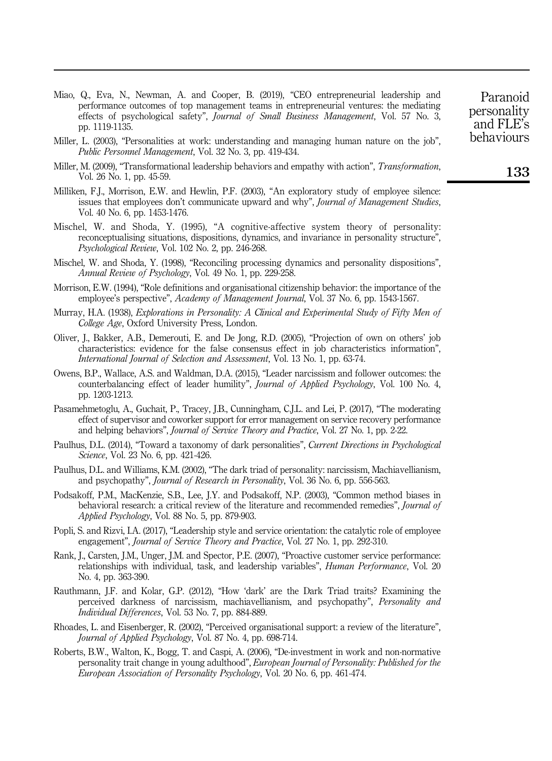Miao, Q., Eva, N., Newman, A. and Cooper, B. (2019), "CEO entrepreneurial leadership and performance outcomes of top management teams in entrepreneurial ventures: the mediating effects of psychological safety", *Journal of Small Business Management*, Vol. 57 No. 3, pp. 1119-1135.

- Miller, L. (2003), "Personalities at work: understanding and managing human nature on the job", *Public Personnel Management*, Vol. 32 No. 3, pp. 419-434.
- Miller, M. (2009), "Transformational leadership behaviors and empathy with action", *Transformation*, Vol. 26 No. 1, pp. 45-59.
- Milliken, F.J., Morrison, E.W. and Hewlin, P.F. (2003), "An exploratory study of employee silence: issues that employees don't communicate upward and why", *Journal of Management Studies*, Vol. 40 No. 6, pp. 1453-1476.
- Mischel, W. and Shoda, Y. (1995), "A cognitive-affective system theory of personality: reconceptualising situations, dispositions, dynamics, and invariance in personality structure", *Psychological Review*, Vol. 102 No. 2, pp. 246-268.
- Mischel, W. and Shoda, Y. (1998), "Reconciling processing dynamics and personality dispositions", *Annual Review of Psychology*, Vol. 49 No. 1, pp. 229-258.
- Morrison, E.W. (1994), "Role definitions and organisational citizenship behavior: the importance of the employee's perspective", *Academy of Management Journal*, Vol. 37 No. 6, pp. 1543-1567.
- Murray, H.A. (1938), *Explorations in Personality: A Clinical and Experimental Study of Fifty Men of College Age*, Oxford University Press, London.
- Oliver, J., Bakker, A.B., Demerouti, E. and De Jong, R.D. (2005), "Projection of own on others' job characteristics: evidence for the false consensus effect in job characteristics information", *International Journal of Selection and Assessment*, Vol. 13 No. 1, pp. 63-74.
- Owens, B.P., Wallace, A.S. and Waldman, D.A. (2015), "Leader narcissism and follower outcomes: the counterbalancing effect of leader humility", *Journal of Applied Psychology*, Vol. 100 No. 4, pp. 1203-1213.
- Pasamehmetoglu, A., Guchait, P., Tracey, J.B., Cunningham, C.J.L. and Lei, P. (2017), "The moderating effect of supervisor and coworker support for error management on service recovery performance and helping behaviors", *Journal of Service Theory and Practice*, Vol. 27 No. 1, pp. 2-22.
- Paulhus, D.L. (2014), "Toward a taxonomy of dark personalities", *Current Directions in Psychological Science*, Vol. 23 No. 6, pp. 421-426.
- Paulhus, D.L. and Williams, K.M. (2002), "The dark triad of personality: narcissism, Machiavellianism, and psychopathy", *Journal of Research in Personality*, Vol. 36 No. 6, pp. 556-563.
- Podsakoff, P.M., MacKenzie, S.B., Lee, J.Y. and Podsakoff, N.P. (2003), "Common method biases in behavioral research: a critical review of the literature and recommended remedies", *Journal of Applied Psychology*, Vol. 88 No. 5, pp. 879-903.
- Popli, S. and Rizvi, I.A. (2017), "Leadership style and service orientation: the catalytic role of employee engagement", *Journal of Service Theory and Practice*, Vol. 27 No. 1, pp. 292-310.
- Rank, J., Carsten, J.M., Unger, J.M. and Spector, P.E. (2007), "Proactive customer service performance: relationships with individual, task, and leadership variables", *Human Performance*, Vol. 20 No. 4, pp. 363-390.
- Rauthmann, J.F. and Kolar, G.P. (2012), "How 'dark' are the Dark Triad traits? Examining the perceived darkness of narcissism, machiavellianism, and psychopathy", *Personality and Individual Differences*, Vol. 53 No. 7, pp. 884-889.
- Rhoades, L. and Eisenberger, R. (2002), "Perceived organisational support: a review of the literature", *Journal of Applied Psychology*, Vol. 87 No. 4, pp. 698-714.
- Roberts, B.W., Walton, K., Bogg, T. and Caspi, A. (2006), "De-investment in work and non-normative personality trait change in young adulthood", *European Journal of Personality: Published for the European Association of Personality Psychology*, Vol. 20 No. 6, pp. 461-474.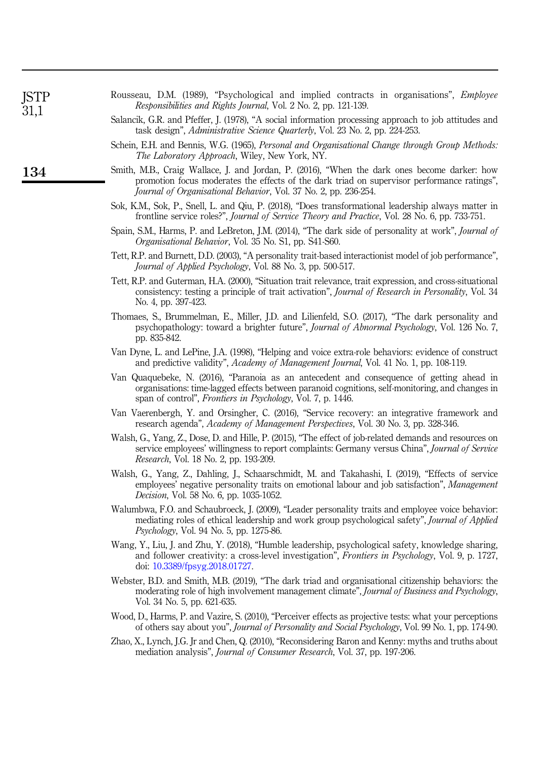| ISTP<br>31,1 | Rousseau, D.M. (1989), "Psychological and implied contracts in organisations", <i>Employee</i><br>Responsibilities and Rights Journal, Vol. 2 No. 2, pp. 121-139.                                                                                                   |
|--------------|---------------------------------------------------------------------------------------------------------------------------------------------------------------------------------------------------------------------------------------------------------------------|
|              | Salancik, G.R. and Pfeffer, J. (1978), "A social information processing approach to job attitudes and<br>task design", <i>Administrative Science Quarterly</i> , Vol. 23 No. 2, pp. 224-253.                                                                        |
|              | Schein, E.H. and Bennis, W.G. (1965), Personal and Organisational Change through Group Methods:<br>The Laboratory Approach, Wiley, New York, NY.                                                                                                                    |
| 134          | Smith, M.B., Craig Wallace, J. and Jordan, P. (2016), "When the dark ones become darker: how<br>promotion focus moderates the effects of the dark triad on supervisor performance ratings",<br>Journal of Organisational Behavior, Vol. 37 No. 2, pp. 236-254.      |
|              | Sok, K.M., Sok, P., Snell, L. and Qiu, P. (2018), "Does transformational leadership always matter in<br>frontline service roles?", <i>Journal of Service Theory and Practice</i> , Vol. 28 No. 6, pp. 733-751.                                                      |
|              | Spain, S.M., Harms, P. and LeBreton, J.M. (2014), "The dark side of personality at work", Journal of<br>Organisational Behavior, Vol. 35 No. S1, pp. S41-S60.                                                                                                       |
|              | Tett, R.P. and Burnett, D.D. (2003), "A personality trait-based interactionist model of job performance",<br>Journal of Applied Psychology, Vol. 88 No. 3, pp. 500-517.                                                                                             |
|              | Tett, R.P. and Guterman, H.A. (2000), "Situation trait relevance, trait expression, and cross-situational<br>consistency: testing a principle of trait activation", <i>Journal of Research in Personality</i> , Vol. 34<br>No. 4, pp. 397-423.                      |
|              | Thomaes, S., Brummelman, E., Miller, J.D. and Lilienfeld, S.O. (2017), "The dark personality and<br>psychopathology: toward a brighter future", Journal of Abnormal Psychology, Vol. 126 No. 7,<br>pp. 835-842.                                                     |
|              | Van Dyne, L. and LePine, J.A. (1998), "Helping and voice extra-role behaviors: evidence of construct<br>and predictive validity", Academy of Management Journal, Vol. 41 No. 1, pp. 108-119.                                                                        |
|              | Van Quaquebeke, N. (2016), "Paranoia as an antecedent and consequence of getting ahead in<br>organisations: time-lagged effects between paranoid cognitions, self-monitoring, and changes in<br>span of control", <i>Frontiers in Psychology</i> , Vol. 7, p. 1446. |
|              | Van Vaerenbergh, Y. and Orsingher, C. (2016), "Service recovery: an integrative framework and<br>research agenda", Academy of Management Perspectives, Vol. 30 No. 3, pp. 328-346.                                                                                  |
|              | Walsh, G., Yang, Z., Dose, D. and Hille, P. (2015), "The effect of job-related demands and resources on<br>service employees' willingness to report complaints: Germany versus China", Journal of Service<br>Research, Vol. 18 No. 2, pp. 193-209.                  |
|              | Walsh, G., Yang, Z., Dahling, J., Schaarschmidt, M. and Takahashi, I. (2019), "Effects of service<br>employees' negative personality traits on emotional labour and job satisfaction", Management<br>Decision, Vol. 58 No. 6, pp. 1035-1052.                        |
|              | Walumbwa, F.O. and Schaubroeck, J. (2009), "Leader personality traits and employee voice behavior:<br>mediating roles of ethical leadership and work group psychological safety", Journal of Applied<br>Psychology, Vol. 94 No. 5, pp. 1275-86.                     |
|              | Wang, Y., Liu, J. and Zhu, Y. (2018), "Humble leadership, psychological safety, knowledge sharing,<br>and follower creativity: a cross-level investigation", <i>Frontiers in Psychology</i> , Vol. 9, p. 1727,<br>doi: 10.3389/fpsyg.2018.01727.                    |
|              | Webster, B.D. and Smith, M.B. (2019), "The dark triad and organisational citizenship behaviors: the<br>moderating role of high involvement management climate", Journal of Business and Psychology,<br>Vol. 34 No. 5, pp. 621-635.                                  |
|              | Wood, D., Harms, P. and Vazire, S. (2010), "Perceiver effects as projective tests: what your perceptions<br>of others say about you", <i>Journal of Personality and Social Psychology</i> , Vol. 99 No. 1, pp. 174-90.                                              |
|              | Zhao, X., Lynch, J.G. Jr and Chen, Q. (2010), "Reconsidering Baron and Kenny: myths and truths about<br>mediation analysis", <i>Journal of Consumer Research</i> , Vol. 37, pp. 197-206.                                                                            |
|              |                                                                                                                                                                                                                                                                     |